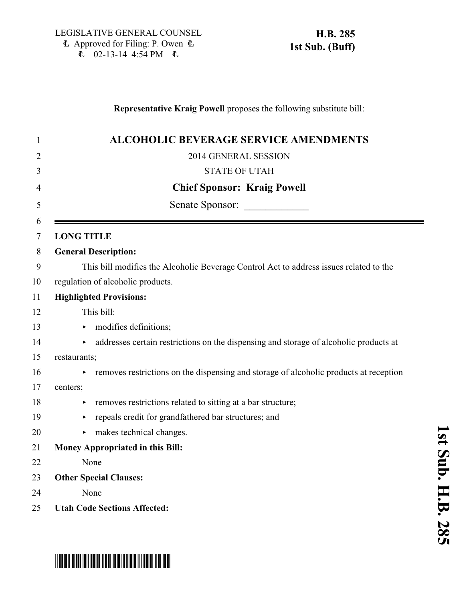### **Representative Kraig Powell** proposes the following substitute bill:

| $\mathbf{1}$   | <b>ALCOHOLIC BEVERAGE SERVICE AMENDMENTS</b>                                                |
|----------------|---------------------------------------------------------------------------------------------|
| $\overline{2}$ | 2014 GENERAL SESSION                                                                        |
| 3              | <b>STATE OF UTAH</b>                                                                        |
| 4              | <b>Chief Sponsor: Kraig Powell</b>                                                          |
| 5              | Senate Sponsor:                                                                             |
| 6              |                                                                                             |
| 7              | <b>LONG TITLE</b>                                                                           |
| 8              | <b>General Description:</b>                                                                 |
| 9              | This bill modifies the Alcoholic Beverage Control Act to address issues related to the      |
| 10             | regulation of alcoholic products.                                                           |
| 11             | <b>Highlighted Provisions:</b>                                                              |
| 12             | This bill:                                                                                  |
| 13             | $\triangleright$ modifies definitions;                                                      |
| 14             | • addresses certain restrictions on the dispensing and storage of alcoholic products at     |
| 15             | restaurants;                                                                                |
| 16             | removes restrictions on the dispensing and storage of alcoholic products at reception<br>Þ. |
| 17             | centers;                                                                                    |
| 18             | removes restrictions related to sitting at a bar structure;<br>Þ.                           |
| 19             | repeals credit for grandfathered bar structures; and<br>Þ.                                  |
| 20             | makes technical changes.<br>►                                                               |
| 21             | <b>Money Appropriated in this Bill:</b>                                                     |
| 22             | None                                                                                        |
| 23             | <b>Other Special Clauses:</b>                                                               |
| 24             | None                                                                                        |
| 25             | <b>Utah Code Sections Affected:</b>                                                         |

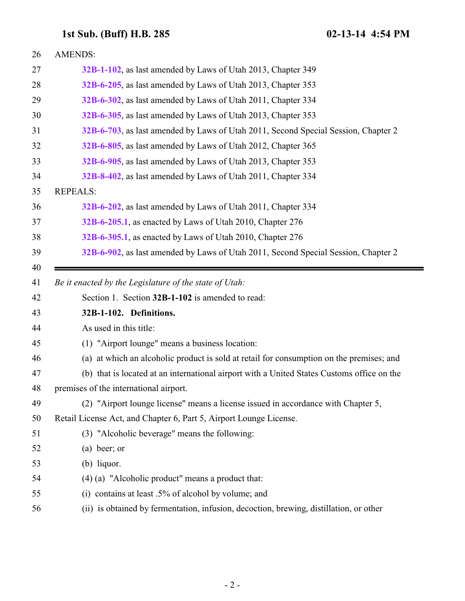<span id="page-1-0"></span>

| 26 | <b>AMENDS:</b>                                                                             |
|----|--------------------------------------------------------------------------------------------|
| 27 | 32B-1-102, as last amended by Laws of Utah 2013, Chapter 349                               |
| 28 | 32B-6-205, as last amended by Laws of Utah 2013, Chapter 353                               |
| 29 | 32B-6-302, as last amended by Laws of Utah 2011, Chapter 334                               |
| 30 | 32B-6-305, as last amended by Laws of Utah 2013, Chapter 353                               |
| 31 | 32B-6-703, as last amended by Laws of Utah 2011, Second Special Session, Chapter 2         |
| 32 | 32B-6-805, as last amended by Laws of Utah 2012, Chapter 365                               |
| 33 | 32B-6-905, as last amended by Laws of Utah 2013, Chapter 353                               |
| 34 | 32B-8-402, as last amended by Laws of Utah 2011, Chapter 334                               |
| 35 | <b>REPEALS:</b>                                                                            |
| 36 | 32B-6-202, as last amended by Laws of Utah 2011, Chapter 334                               |
| 37 | 32B-6-205.1, as enacted by Laws of Utah 2010, Chapter 276                                  |
| 38 | 32B-6-305.1, as enacted by Laws of Utah 2010, Chapter 276                                  |
| 39 | 32B-6-902, as last amended by Laws of Utah 2011, Second Special Session, Chapter 2         |
| 40 |                                                                                            |
|    |                                                                                            |
| 41 | Be it enacted by the Legislature of the state of Utah:                                     |
| 42 | Section 1. Section 32B-1-102 is amended to read:                                           |
| 43 | 32B-1-102. Definitions.                                                                    |
| 44 | As used in this title:                                                                     |
| 45 | (1) "Airport lounge" means a business location:                                            |
| 46 | (a) at which an alcoholic product is sold at retail for consumption on the premises; and   |
| 47 | (b) that is located at an international airport with a United States Customs office on the |
| 48 | premises of the international airport.                                                     |
| 49 | (2) "Airport lounge license" means a license issued in accordance with Chapter 5,          |
| 50 | Retail License Act, and Chapter 6, Part 5, Airport Lounge License.                         |
| 51 | (3) "Alcoholic beverage" means the following:                                              |
| 52 | $(a)$ beer; or                                                                             |
| 53 | $(b)$ liquor.                                                                              |
| 54 | $(4)$ (a) "Alcoholic product" means a product that:                                        |
| 55 | (i) contains at least $.5\%$ of alcohol by volume; and                                     |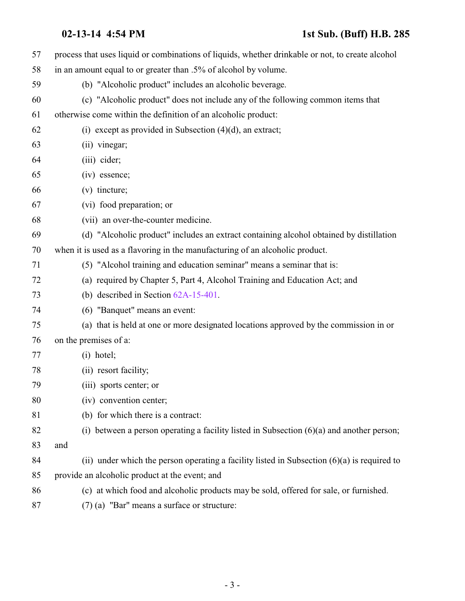| 57 | process that uses liquid or combinations of liquids, whether drinkable or not, to create alcohol |
|----|--------------------------------------------------------------------------------------------------|
| 58 | in an amount equal to or greater than .5% of alcohol by volume.                                  |
| 59 | (b) "Alcoholic product" includes an alcoholic beverage.                                          |
| 60 | (c) "Alcoholic product" does not include any of the following common items that                  |
| 61 | otherwise come within the definition of an alcoholic product:                                    |
| 62 | (i) except as provided in Subsection $(4)(d)$ , an extract;                                      |
| 63 | (ii) vinegar;                                                                                    |
| 64 | (iii) cider;                                                                                     |
| 65 | (iv) essence;                                                                                    |
| 66 | $(v)$ tincture;                                                                                  |
| 67 | (vi) food preparation; or                                                                        |
| 68 | (vii) an over-the-counter medicine.                                                              |
| 69 | (d) "Alcoholic product" includes an extract containing alcohol obtained by distillation          |
| 70 | when it is used as a flavoring in the manufacturing of an alcoholic product.                     |
| 71 | (5) "Alcohol training and education seminar" means a seminar that is:                            |
| 72 | (a) required by Chapter 5, Part 4, Alcohol Training and Education Act; and                       |
| 73 | (b) described in Section $62A-15-401$ .                                                          |
| 74 | (6) "Banquet" means an event:                                                                    |
| 75 | (a) that is held at one or more designated locations approved by the commission in or            |
| 76 | on the premises of a:                                                                            |
| 77 | $(i)$ hotel;                                                                                     |
| 78 | (ii) resort facility;                                                                            |
| 79 | (iii) sports center; or                                                                          |
| 80 | (iv) convention center;                                                                          |
| 81 | (b) for which there is a contract:                                                               |
| 82 | (i) between a person operating a facility listed in Subsection $(6)(a)$ and another person;      |
| 83 | and                                                                                              |
| 84 | (ii) under which the person operating a facility listed in Subsection $(6)(a)$ is required to    |
| 85 | provide an alcoholic product at the event; and                                                   |
| 86 | (c) at which food and alcoholic products may be sold, offered for sale, or furnished.            |
| 87 | $(7)$ (a) "Bar" means a surface or structure:                                                    |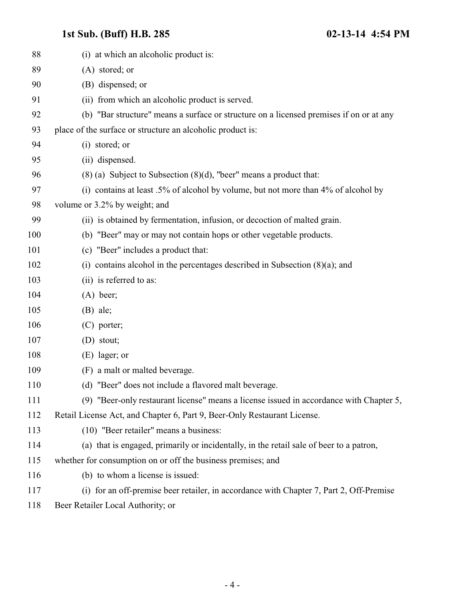| 88  | (i) at which an alcoholic product is:                                                   |
|-----|-----------------------------------------------------------------------------------------|
| 89  | (A) stored; or                                                                          |
| 90  | (B) dispensed; or                                                                       |
| 91  | (ii) from which an alcoholic product is served.                                         |
| 92  | (b) "Bar structure" means a surface or structure on a licensed premises if on or at any |
| 93  | place of the surface or structure an alcoholic product is:                              |
| 94  | (i) stored; or                                                                          |
| 95  | (ii) dispensed.                                                                         |
| 96  | $(8)$ (a) Subject to Subsection $(8)(d)$ , "beer" means a product that:                 |
| 97  | (i) contains at least .5% of alcohol by volume, but not more than 4% of alcohol by      |
| 98  | volume or 3.2% by weight; and                                                           |
| 99  | (ii) is obtained by fermentation, infusion, or decoction of malted grain.               |
| 100 | (b) "Beer" may or may not contain hops or other vegetable products.                     |
| 101 | (c) "Beer" includes a product that:                                                     |
| 102 | (i) contains alcohol in the percentages described in Subsection $(8)(a)$ ; and          |
| 103 | (ii) is referred to as:                                                                 |
| 104 | $(A)$ beer;                                                                             |
| 105 | $(B)$ ale;                                                                              |
| 106 | $(C)$ porter;                                                                           |
| 107 | (D) stout;                                                                              |
| 108 | $(E)$ lager; or                                                                         |
| 109 | (F) a malt or malted beverage.                                                          |
| 110 | (d) "Beer" does not include a flavored malt beverage.                                   |
| 111 | (9) "Beer-only restaurant license" means a license issued in accordance with Chapter 5, |
| 112 | Retail License Act, and Chapter 6, Part 9, Beer-Only Restaurant License.                |
| 113 | (10) "Beer retailer" means a business:                                                  |
| 114 | (a) that is engaged, primarily or incidentally, in the retail sale of beer to a patron, |
| 115 | whether for consumption on or off the business premises; and                            |
| 116 | (b) to whom a license is issued:                                                        |
| 117 | (i) for an off-premise beer retailer, in accordance with Chapter 7, Part 2, Off-Premise |
| 118 | Beer Retailer Local Authority; or                                                       |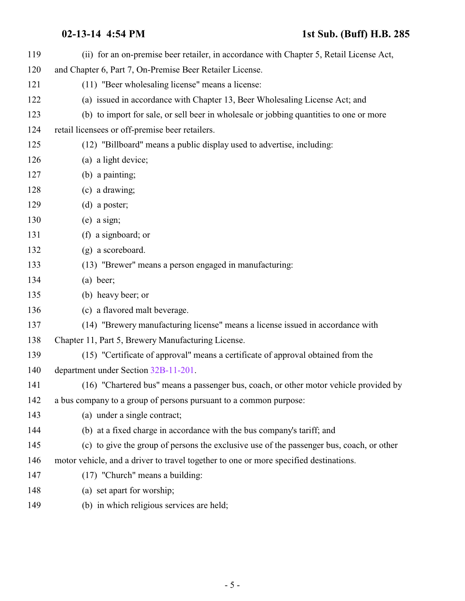| 119 | (ii) for an on-premise beer retailer, in accordance with Chapter 5, Retail License Act,  |
|-----|------------------------------------------------------------------------------------------|
| 120 | and Chapter 6, Part 7, On-Premise Beer Retailer License.                                 |
| 121 | (11) "Beer wholesaling license" means a license:                                         |
| 122 | (a) issued in accordance with Chapter 13, Beer Wholesaling License Act; and              |
| 123 | (b) to import for sale, or sell beer in wholesale or jobbing quantities to one or more   |
| 124 | retail licensees or off-premise beer retailers.                                          |
| 125 | (12) "Billboard" means a public display used to advertise, including:                    |
| 126 | (a) a light device;                                                                      |
| 127 | (b) a painting;                                                                          |
| 128 | (c) a drawing;                                                                           |
| 129 | $(d)$ a poster;                                                                          |
| 130 | $(e)$ a sign;                                                                            |
| 131 | (f) a signboard; or                                                                      |
| 132 | (g) a scoreboard.                                                                        |
| 133 | (13) "Brewer" means a person engaged in manufacturing:                                   |
| 134 | $(a)$ beer;                                                                              |
| 135 | (b) heavy beer; or                                                                       |
| 136 | (c) a flavored malt beverage.                                                            |
| 137 | (14) "Brewery manufacturing license" means a license issued in accordance with           |
| 138 | Chapter 11, Part 5, Brewery Manufacturing License.                                       |
| 139 | (15) "Certificate of approval" means a certificate of approval obtained from the         |
| 140 | department under Section 32B-11-201.                                                     |
| 141 | (16) "Chartered bus" means a passenger bus, coach, or other motor vehicle provided by    |
| 142 | a bus company to a group of persons pursuant to a common purpose:                        |
| 143 | (a) under a single contract;                                                             |
| 144 | (b) at a fixed charge in accordance with the bus company's tariff; and                   |
| 145 | (c) to give the group of persons the exclusive use of the passenger bus, coach, or other |
| 146 | motor vehicle, and a driver to travel together to one or more specified destinations.    |
| 147 | $(17)$ "Church" means a building:                                                        |
| 148 | (a) set apart for worship;                                                               |
| 149 | (b) in which religious services are held;                                                |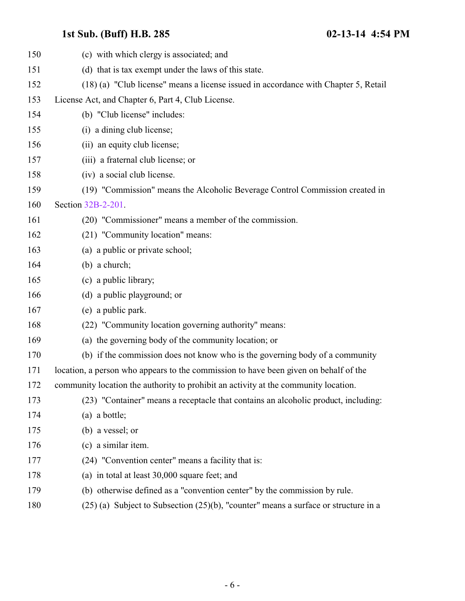| 150 | (c) with which clergy is associated; and                                                 |
|-----|------------------------------------------------------------------------------------------|
| 151 | (d) that is tax exempt under the laws of this state.                                     |
| 152 | (18) (a) "Club license" means a license issued in accordance with Chapter 5, Retail      |
| 153 | License Act, and Chapter 6, Part 4, Club License.                                        |
| 154 | (b) "Club license" includes:                                                             |
| 155 | (i) a dining club license;                                                               |
| 156 | (ii) an equity club license;                                                             |
| 157 | (iii) a fraternal club license; or                                                       |
| 158 | (iv) a social club license.                                                              |
| 159 | (19) "Commission" means the Alcoholic Beverage Control Commission created in             |
| 160 | Section 32B-2-201.                                                                       |
| 161 | (20) "Commissioner" means a member of the commission.                                    |
| 162 | (21) "Community location" means:                                                         |
| 163 | (a) a public or private school;                                                          |
| 164 | $(b)$ a church;                                                                          |
| 165 | (c) a public library;                                                                    |
| 166 | (d) a public playground; or                                                              |
| 167 | (e) a public park.                                                                       |
| 168 | (22) "Community location governing authority" means:                                     |
| 169 | (a) the governing body of the community location; or                                     |
| 170 | (b) if the commission does not know who is the governing body of a community             |
| 171 | location, a person who appears to the commission to have been given on behalf of the     |
| 172 | community location the authority to prohibit an activity at the community location       |
| 173 | (23) "Container" means a receptacle that contains an alcoholic product, including:       |
| 174 | $(a)$ a bottle;                                                                          |
| 175 | (b) a vessel; or                                                                         |
| 176 | (c) a similar item.                                                                      |
| 177 | (24) "Convention center" means a facility that is:                                       |
| 178 | (a) in total at least 30,000 square feet; and                                            |
| 179 | (b) otherwise defined as a "convention center" by the commission by rule.                |
| 180 | $(25)$ (a) Subject to Subsection $(25)(b)$ , "counter" means a surface or structure in a |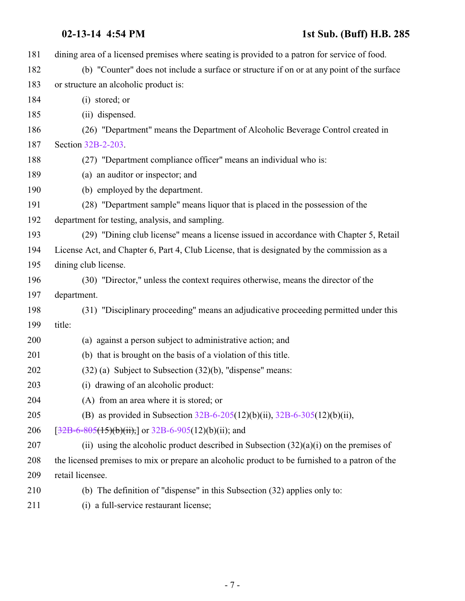- **02-13-14 4:54 PM 1st Sub. (Buff) H.B. 285** dining area of a licensed premises where seating is provided to a patron for service of food. (b) "Counter" does not include a surface or structure if on or at any point of the surface or structure an alcoholic product is: (i) stored; or (ii) dispensed. (26) "Department" means the Department of Alcoholic Beverage Control created in Section [32B-2-203](http://le.utah.gov/UtahCode/SectionLookup.jsp?section=32b-2-203&session=2014GS). (27) "Department compliance officer" means an individual who is: (a) an auditor or inspector; and (b) employed by the department. (28) "Department sample" means liquor that is placed in the possession of the department for testing, analysis, and sampling. (29) "Dining club license" means a license issued in accordance with Chapter 5, Retail License Act, and Chapter 6, Part 4, Club License, that is designated by the commission as a dining club license. (30) "Director," unless the context requires otherwise, means the director of the department. (31) "Disciplinary proceeding" means an adjudicative proceeding permitted under this title: (a) against a person subject to administrative action; and (b) that is brought on the basis of a violation of this title. (32) (a) Subject to Subsection (32)(b), "dispense" means: (i) drawing of an alcoholic product: (A) from an area where it is stored; or (B) as provided in Subsection [32B-6-205](#page-20-0)(12)(b)(ii), [32B-6-305](#page-26-0)(12)(b)(ii), 206  $[32B-6-805(15)(b)(ii),]$  $[32B-6-805(15)(b)(ii),]$  $[32B-6-805(15)(b)(ii),]$  or  $32B-6-905(12)(b)(ii)$ ; and 207 (ii) using the alcoholic product described in Subsection  $(32)(a)(i)$  on the premises of the licensed premises to mix or prepare an alcoholic product to be furnished to a patron of the retail licensee. (b) The definition of "dispense" in this Subsection (32) applies only to:
- (i) a full-service restaurant license;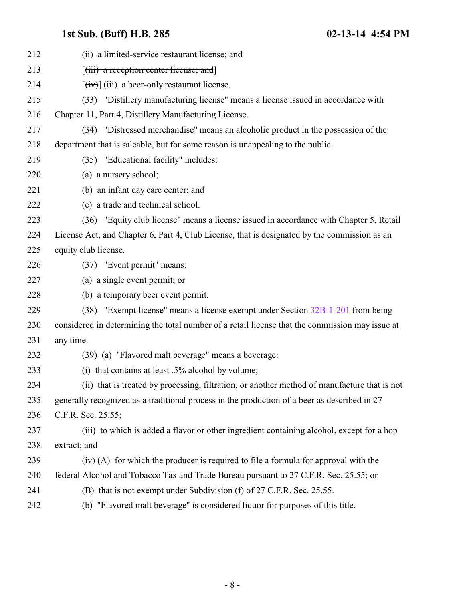| 212 | (ii) a limited-service restaurant license; and                                                  |
|-----|-------------------------------------------------------------------------------------------------|
| 213 | $[$ (iii) a reception center license; and $]$                                                   |
| 214 | $[\overrightarrow{tv}]$ (iii) a beer-only restaurant license.                                   |
| 215 | (33) "Distillery manufacturing license" means a license issued in accordance with               |
| 216 | Chapter 11, Part 4, Distillery Manufacturing License.                                           |
| 217 | (34) "Distressed merchandise" means an alcoholic product in the possession of the               |
| 218 | department that is saleable, but for some reason is unappealing to the public.                  |
| 219 | (35) "Educational facility" includes:                                                           |
| 220 | (a) a nursery school;                                                                           |
| 221 | (b) an infant day care center; and                                                              |
| 222 | (c) a trade and technical school.                                                               |
| 223 | (36) "Equity club license" means a license issued in accordance with Chapter 5, Retail          |
| 224 | License Act, and Chapter 6, Part 4, Club License, that is designated by the commission as an    |
| 225 | equity club license.                                                                            |
| 226 | (37) "Event permit" means:                                                                      |
| 227 | (a) a single event permit; or                                                                   |
| 228 | (b) a temporary beer event permit.                                                              |
| 229 | (38) "Exempt license" means a license exempt under Section 32B-1-201 from being                 |
| 230 | considered in determining the total number of a retail license that the commission may issue at |
| 231 | any time.                                                                                       |
| 232 | (39) (a) "Flavored malt beverage" means a beverage:                                             |
| 233 | (i) that contains at least .5% alcohol by volume;                                               |
| 234 | (ii) that is treated by processing, filtration, or another method of manufacture that is not    |
| 235 | generally recognized as a traditional process in the production of a beer as described in 27    |
| 236 | C.F.R. Sec. 25.55;                                                                              |
| 237 | (iii) to which is added a flavor or other ingredient containing alcohol, except for a hop       |
| 238 | extract; and                                                                                    |
| 239 | (iv) (A) for which the producer is required to file a formula for approval with the             |
| 240 | federal Alcohol and Tobacco Tax and Trade Bureau pursuant to 27 C.F.R. Sec. 25.55; or           |
| 241 | (B) that is not exempt under Subdivision (f) of 27 C.F.R. Sec. 25.55.                           |
| 242 | (b) "Flavored malt beverage" is considered liquor for purposes of this title.                   |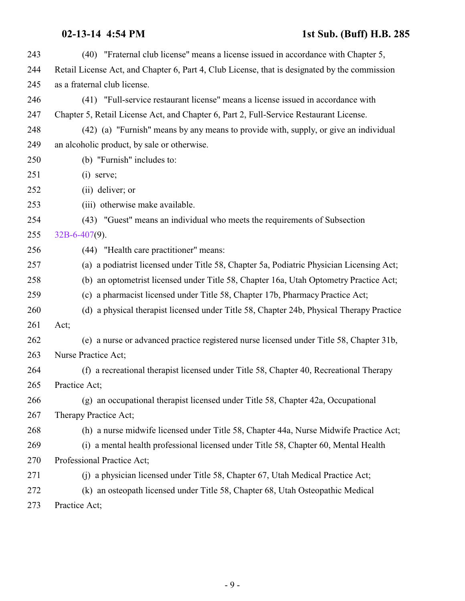| 243 | (40) "Fraternal club license" means a license issued in accordance with Chapter 5,            |
|-----|-----------------------------------------------------------------------------------------------|
| 244 | Retail License Act, and Chapter 6, Part 4, Club License, that is designated by the commission |
| 245 | as a fraternal club license.                                                                  |
| 246 | (41) "Full-service restaurant license" means a license issued in accordance with              |
| 247 | Chapter 5, Retail License Act, and Chapter 6, Part 2, Full-Service Restaurant License.        |
| 248 | (42) (a) "Furnish" means by any means to provide with, supply, or give an individual          |
| 249 | an alcoholic product, by sale or otherwise.                                                   |
| 250 | (b) "Furnish" includes to:                                                                    |
| 251 | $(i)$ serve;                                                                                  |
| 252 | (ii) deliver; or                                                                              |
| 253 | (iii) otherwise make available.                                                               |
| 254 | (43) "Guest" means an individual who meets the requirements of Subsection                     |
| 255 | $32B - 6 - 407(9)$ .                                                                          |
| 256 | (44) "Health care practitioner" means:                                                        |
| 257 | (a) a podiatrist licensed under Title 58, Chapter 5a, Podiatric Physician Licensing Act;      |
| 258 | (b) an optometrist licensed under Title 58, Chapter 16a, Utah Optometry Practice Act;         |
| 259 | (c) a pharmacist licensed under Title 58, Chapter 17b, Pharmacy Practice Act;                 |
| 260 | (d) a physical therapist licensed under Title 58, Chapter 24b, Physical Therapy Practice      |
| 261 | Act;                                                                                          |
| 262 | (e) a nurse or advanced practice registered nurse licensed under Title 58, Chapter 31b,       |
| 263 | Nurse Practice Act;                                                                           |
| 264 | (f) a recreational therapist licensed under Title 58, Chapter 40, Recreational Therapy        |
| 265 | Practice Act;                                                                                 |
| 266 | (g) an occupational therapist licensed under Title 58, Chapter 42a, Occupational              |
| 267 | Therapy Practice Act;                                                                         |
| 268 | (h) a nurse midwife licensed under Title 58, Chapter 44a, Nurse Midwife Practice Act;         |
| 269 | (i) a mental health professional licensed under Title 58, Chapter 60, Mental Health           |
| 270 | Professional Practice Act;                                                                    |
| 271 | (j) a physician licensed under Title 58, Chapter 67, Utah Medical Practice Act;               |
| 272 | (k) an osteopath licensed under Title 58, Chapter 68, Utah Osteopathic Medical                |
| 273 | Practice Act;                                                                                 |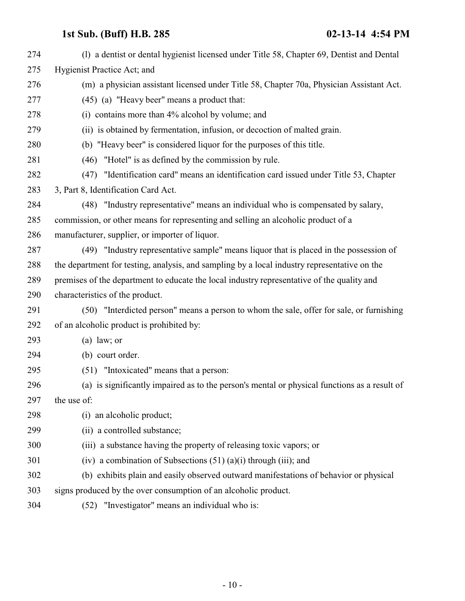| 274 | (1) a dentist or dental hygienist licensed under Title 58, Chapter 69, Dentist and Dental    |
|-----|----------------------------------------------------------------------------------------------|
| 275 | Hygienist Practice Act; and                                                                  |
| 276 | (m) a physician assistant licensed under Title 58, Chapter 70a, Physician Assistant Act.     |
| 277 | (45) (a) "Heavy beer" means a product that:                                                  |
| 278 | (i) contains more than 4% alcohol by volume; and                                             |
| 279 | (ii) is obtained by fermentation, infusion, or decoction of malted grain.                    |
| 280 | (b) "Heavy beer" is considered liquor for the purposes of this title.                        |
| 281 | (46) "Hotel" is as defined by the commission by rule.                                        |
| 282 | (47) "Identification card" means an identification card issued under Title 53, Chapter       |
| 283 | 3, Part 8, Identification Card Act.                                                          |
| 284 | (48) "Industry representative" means an individual who is compensated by salary,             |
| 285 | commission, or other means for representing and selling an alcoholic product of a            |
| 286 | manufacturer, supplier, or importer of liquor.                                               |
| 287 | (49) "Industry representative sample" means liquor that is placed in the possession of       |
| 288 | the department for testing, analysis, and sampling by a local industry representative on the |
| 289 | premises of the department to educate the local industry representative of the quality and   |
| 290 | characteristics of the product.                                                              |
| 291 | (50) "Interdicted person" means a person to whom the sale, offer for sale, or furnishing     |
| 292 | of an alcoholic product is prohibited by:                                                    |
| 293 | $(a)$ law; or                                                                                |
| 294 | (b) court order.                                                                             |
| 295 | (51) "Intoxicated" means that a person:                                                      |
| 296 | (a) is significantly impaired as to the person's mental or physical functions as a result of |
| 297 | the use of:                                                                                  |
| 298 | (i) an alcoholic product;                                                                    |
| 299 | (ii) a controlled substance;                                                                 |
| 300 | (iii) a substance having the property of releasing toxic vapors; or                          |
| 301 | (iv) a combination of Subsections $(51)$ (a)(i) through (iii); and                           |
| 302 | (b) exhibits plain and easily observed outward manifestations of behavior or physical        |
| 303 | signs produced by the over consumption of an alcoholic product.                              |
| 304 | "Investigator" means an individual who is:<br>(52)                                           |
|     |                                                                                              |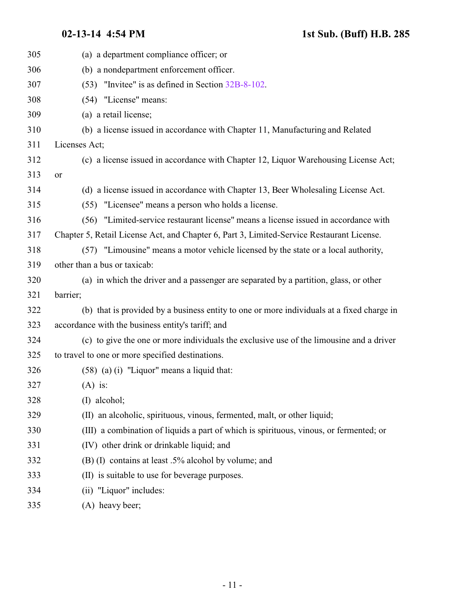| 305 | (a) a department compliance officer; or                                                   |
|-----|-------------------------------------------------------------------------------------------|
| 306 | (b) a nondepartment enforcement officer.                                                  |
| 307 | (53) "Invitee" is as defined in Section 32B-8-102.                                        |
| 308 | (54) "License" means:                                                                     |
| 309 | (a) a retail license;                                                                     |
| 310 | (b) a license issued in accordance with Chapter 11, Manufacturing and Related             |
| 311 | Licenses Act;                                                                             |
| 312 | (c) a license issued in accordance with Chapter 12, Liquor Warehousing License Act;       |
| 313 | or                                                                                        |
| 314 | (d) a license issued in accordance with Chapter 13, Beer Wholesaling License Act.         |
| 315 | (55) "Licensee" means a person who holds a license.                                       |
| 316 | (56) "Limited-service restaurant license" means a license issued in accordance with       |
| 317 | Chapter 5, Retail License Act, and Chapter 6, Part 3, Limited-Service Restaurant License. |
| 318 | (57) "Limousine" means a motor vehicle licensed by the state or a local authority,        |
| 319 | other than a bus or taxicab:                                                              |
| 320 | (a) in which the driver and a passenger are separated by a partition, glass, or other     |
| 321 | barrier;                                                                                  |
| 322 | (b) that is provided by a business entity to one or more individuals at a fixed charge in |
| 323 | accordance with the business entity's tariff; and                                         |
| 324 | (c) to give the one or more individuals the exclusive use of the limousine and a driver   |
| 325 | to travel to one or more specified destinations.                                          |
| 326 | $(58)$ (a) (i) "Liquor" means a liquid that:                                              |
| 327 | $(A)$ is:                                                                                 |
| 328 | $(I)$ alcohol;                                                                            |
| 329 | (II) an alcoholic, spirituous, vinous, fermented, malt, or other liquid;                  |
| 330 | (III) a combination of liquids a part of which is spirituous, vinous, or fermented; or    |
| 331 | (IV) other drink or drinkable liquid; and                                                 |
| 332 | (B) (I) contains at least .5% alcohol by volume; and                                      |
| 333 | (II) is suitable to use for beverage purposes.                                            |
| 334 | (ii) "Liquor" includes:                                                                   |
| 335 | (A) heavy beer;                                                                           |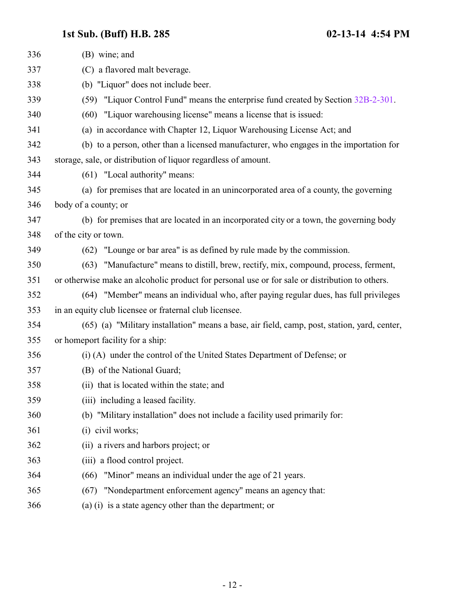| 336 | (B) wine; and                                                                                  |
|-----|------------------------------------------------------------------------------------------------|
| 337 | (C) a flavored malt beverage.                                                                  |
| 338 | (b) "Liquor" does not include beer.                                                            |
| 339 | (59) "Liquor Control Fund" means the enterprise fund created by Section 32B-2-301.             |
| 340 | (60) "Liquor warehousing license" means a license that is issued:                              |
| 341 | (a) in accordance with Chapter 12, Liquor Warehousing License Act; and                         |
| 342 | (b) to a person, other than a licensed manufacturer, who engages in the importation for        |
| 343 | storage, sale, or distribution of liquor regardless of amount.                                 |
| 344 | (61) "Local authority" means:                                                                  |
| 345 | (a) for premises that are located in an unincorporated area of a county, the governing         |
| 346 | body of a county; or                                                                           |
| 347 | (b) for premises that are located in an incorporated city or a town, the governing body        |
| 348 | of the city or town.                                                                           |
| 349 | (62) "Lounge or bar area" is as defined by rule made by the commission.                        |
| 350 | (63) "Manufacture" means to distill, brew, rectify, mix, compound, process, ferment,           |
| 351 | or otherwise make an alcoholic product for personal use or for sale or distribution to others. |
| 352 | (64) "Member" means an individual who, after paying regular dues, has full privileges          |
| 353 | in an equity club licensee or fraternal club licensee.                                         |
| 354 | (65) (a) "Military installation" means a base, air field, camp, post, station, yard, center,   |
| 355 | or homeport facility for a ship:                                                               |
| 356 | (i) (A) under the control of the United States Department of Defense; or                       |
| 357 | (B) of the National Guard;                                                                     |
| 358 | (ii) that is located within the state; and                                                     |
| 359 | (iii) including a leased facility.                                                             |
| 360 | (b) "Military installation" does not include a facility used primarily for:                    |
| 361 | (i) civil works;                                                                               |
| 362 | (ii) a rivers and harbors project; or                                                          |
| 363 | (iii) a flood control project.                                                                 |
| 364 | "Minor" means an individual under the age of 21 years.<br>(66)                                 |
| 365 | "Nondepartment enforcement agency" means an agency that:<br>(67)                               |
| 366 | (a) (i) is a state agency other than the department; or                                        |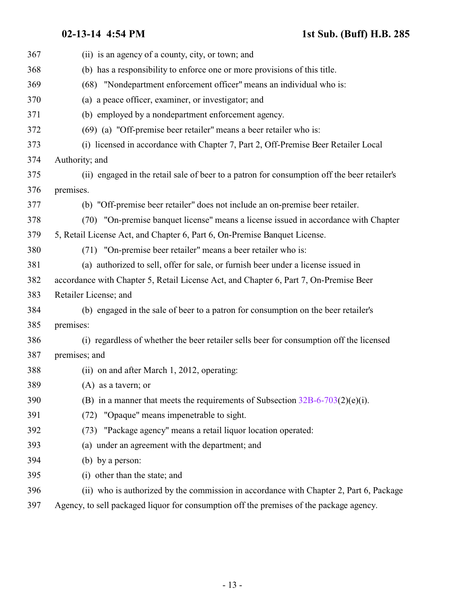| 367 | (ii) is an agency of a county, city, or town; and                                           |
|-----|---------------------------------------------------------------------------------------------|
| 368 | (b) has a responsibility to enforce one or more provisions of this title.                   |
| 369 | (68) "Nondepartment enforcement officer" means an individual who is:                        |
| 370 | (a) a peace officer, examiner, or investigator; and                                         |
| 371 | (b) employed by a nondepartment enforcement agency.                                         |
| 372 | (69) (a) "Off-premise beer retailer" means a beer retailer who is:                          |
| 373 | (i) licensed in accordance with Chapter 7, Part 2, Off-Premise Beer Retailer Local          |
| 374 | Authority; and                                                                              |
| 375 | (ii) engaged in the retail sale of beer to a patron for consumption off the beer retailer's |
| 376 | premises.                                                                                   |
| 377 | (b) "Off-premise beer retailer" does not include an on-premise beer retailer.               |
| 378 | (70) "On-premise banquet license" means a license issued in accordance with Chapter         |
| 379 | 5, Retail License Act, and Chapter 6, Part 6, On-Premise Banquet License.                   |
| 380 | (71) "On-premise beer retailer" means a beer retailer who is:                               |
| 381 | (a) authorized to sell, offer for sale, or furnish beer under a license issued in           |
| 382 | accordance with Chapter 5, Retail License Act, and Chapter 6, Part 7, On-Premise Beer       |
| 383 | Retailer License; and                                                                       |
| 384 | (b) engaged in the sale of beer to a patron for consumption on the beer retailer's          |
| 385 | premises:                                                                                   |
| 386 | (i) regardless of whether the beer retailer sells beer for consumption off the licensed     |
| 387 | premises; and                                                                               |
| 388 | (ii) on and after March 1, 2012, operating:                                                 |
| 389 | (A) as a tavern; or                                                                         |
| 390 | (B) in a manner that meets the requirements of Subsection $32B-6-703(2)(e)(i)$ .            |
| 391 | (72) "Opaque" means impenetrable to sight.                                                  |
| 392 | (73) "Package agency" means a retail liquor location operated:                              |
| 393 | (a) under an agreement with the department; and                                             |
| 394 | (b) by a person:                                                                            |
| 395 | (i) other than the state; and                                                               |
| 396 | (ii) who is authorized by the commission in accordance with Chapter 2, Part 6, Package      |
| 397 | Agency, to sell packaged liquor for consumption off the premises of the package agency.     |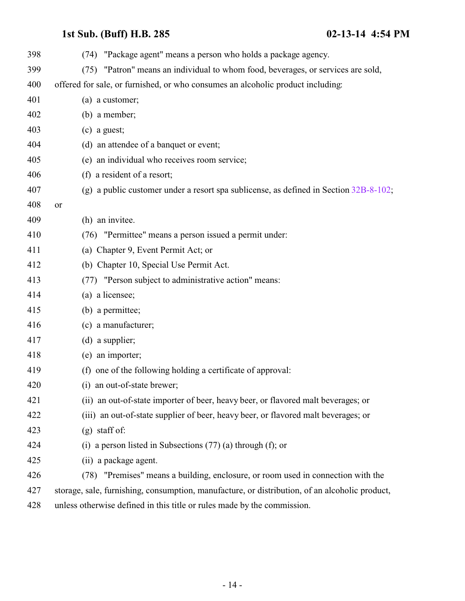| 398 | (74) "Package agent" means a person who holds a package agency.                                |
|-----|------------------------------------------------------------------------------------------------|
| 399 | (75) "Patron" means an individual to whom food, beverages, or services are sold,               |
| 400 | offered for sale, or furnished, or who consumes an alcoholic product including:                |
| 401 | (a) a customer;                                                                                |
| 402 | $(b)$ a member;                                                                                |
| 403 | $(c)$ a guest;                                                                                 |
| 404 | (d) an attendee of a banquet or event;                                                         |
| 405 | (e) an individual who receives room service;                                                   |
| 406 | (f) a resident of a resort;                                                                    |
| 407 | (g) a public customer under a resort spa sublicense, as defined in Section $32B-8-102$ ;       |
| 408 | or                                                                                             |
| 409 | (h) an invitee.                                                                                |
| 410 | (76) "Permittee" means a person issued a permit under:                                         |
| 411 | (a) Chapter 9, Event Permit Act; or                                                            |
| 412 | (b) Chapter 10, Special Use Permit Act.                                                        |
| 413 | (77) "Person subject to administrative action" means:                                          |
| 414 | (a) a licensee;                                                                                |
| 415 | (b) a permittee;                                                                               |
| 416 | (c) a manufacturer;                                                                            |
| 417 | $(d)$ a supplier;                                                                              |
| 418 | (e) an importer;                                                                               |
| 419 | (f) one of the following holding a certificate of approval:                                    |
| 420 | (i) an out-of-state brewer;                                                                    |
| 421 | (ii) an out-of-state importer of beer, heavy beer, or flavored malt beverages; or              |
| 422 | (iii) an out-of-state supplier of beer, heavy beer, or flavored malt beverages; or             |
| 423 | $(g)$ staff of:                                                                                |
| 424 | (i) a person listed in Subsections $(77)$ (a) through (f); or                                  |
| 425 | (ii) a package agent.                                                                          |
| 426 | (78) "Premises" means a building, enclosure, or room used in connection with the               |
| 427 | storage, sale, furnishing, consumption, manufacture, or distribution, of an alcoholic product, |
| 428 | unless otherwise defined in this title or rules made by the commission.                        |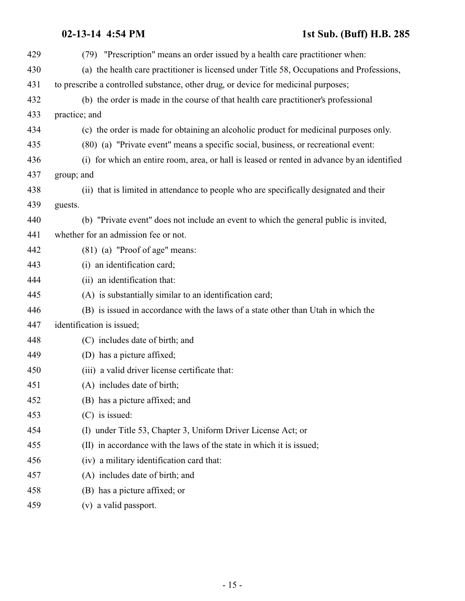| 429 | (79) "Prescription" means an order issued by a health care practitioner when:               |
|-----|---------------------------------------------------------------------------------------------|
| 430 | (a) the health care practitioner is licensed under Title 58, Occupations and Professions,   |
| 431 | to prescribe a controlled substance, other drug, or device for medicinal purposes;          |
| 432 | (b) the order is made in the course of that health care practitioner's professional         |
| 433 | practice; and                                                                               |
| 434 | (c) the order is made for obtaining an alcoholic product for medicinal purposes only.       |
| 435 | (80) (a) "Private event" means a specific social, business, or recreational event:          |
| 436 | (i) for which an entire room, area, or hall is leased or rented in advance by an identified |
| 437 | group; and                                                                                  |
| 438 | (ii) that is limited in attendance to people who are specifically designated and their      |
| 439 | guests.                                                                                     |
| 440 | (b) "Private event" does not include an event to which the general public is invited,       |
| 441 | whether for an admission fee or not.                                                        |
| 442 | (81) (a) "Proof of age" means:                                                              |
| 443 | (i) an identification card;                                                                 |
| 444 | (ii) an identification that:                                                                |
| 445 | (A) is substantially similar to an identification card;                                     |
| 446 | (B) is issued in accordance with the laws of a state other than Utah in which the           |
| 447 | identification is issued;                                                                   |
| 448 | (C) includes date of birth; and                                                             |
| 449 | (D) has a picture affixed;                                                                  |
| 450 | (iii) a valid driver license certificate that:                                              |
| 451 | (A) includes date of birth;                                                                 |
| 452 | (B) has a picture affixed; and                                                              |
| 453 | $(C)$ is issued:                                                                            |
| 454 | (I) under Title 53, Chapter 3, Uniform Driver License Act; or                               |
| 455 | (II) in accordance with the laws of the state in which it is issued;                        |
| 456 | (iv) a military identification card that:                                                   |
| 457 | (A) includes date of birth; and                                                             |
| 458 | (B) has a picture affixed; or                                                               |
| 459 | (v) a valid passport.                                                                       |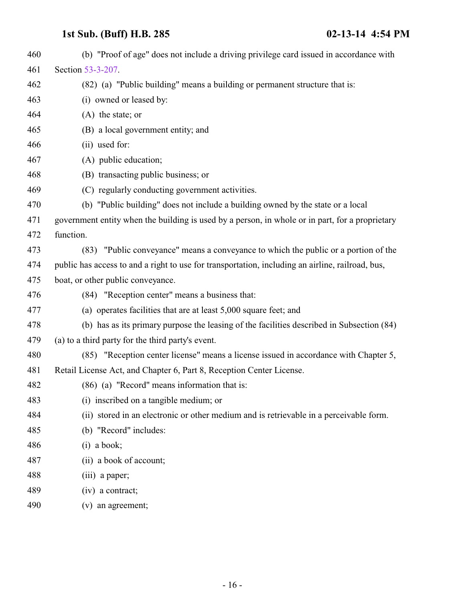| 460 | (b) "Proof of age" does not include a driving privilege card issued in accordance with           |
|-----|--------------------------------------------------------------------------------------------------|
| 461 | Section 53-3-207.                                                                                |
| 462 | (82) (a) "Public building" means a building or permanent structure that is:                      |
| 463 | (i) owned or leased by:                                                                          |
| 464 | $(A)$ the state; or                                                                              |
| 465 | (B) a local government entity; and                                                               |
| 466 | (ii) used for:                                                                                   |
| 467 | (A) public education;                                                                            |
| 468 | (B) transacting public business; or                                                              |
| 469 | (C) regularly conducting government activities.                                                  |
| 470 | (b) "Public building" does not include a building owned by the state or a local                  |
| 471 | government entity when the building is used by a person, in whole or in part, for a proprietary  |
| 472 | function.                                                                                        |
| 473 | (83) "Public conveyance" means a conveyance to which the public or a portion of the              |
| 474 | public has access to and a right to use for transportation, including an airline, railroad, bus, |
| 475 | boat, or other public conveyance.                                                                |
| 476 | (84) "Reception center" means a business that:                                                   |
| 477 | (a) operates facilities that are at least 5,000 square feet; and                                 |
| 478 | (b) has as its primary purpose the leasing of the facilities described in Subsection (84)        |
| 479 | (a) to a third party for the third party's event.                                                |
| 480 | (85) "Reception center license" means a license issued in accordance with Chapter 5,             |
| 481 | Retail License Act, and Chapter 6, Part 8, Reception Center License.                             |
| 482 | (86) (a) "Record" means information that is:                                                     |
| 483 | (i) inscribed on a tangible medium; or                                                           |
| 484 | (ii) stored in an electronic or other medium and is retrievable in a perceivable form.           |
| 485 | (b) "Record" includes:                                                                           |
| 486 | $(i)$ a book;                                                                                    |
| 487 | (ii) a book of account;                                                                          |
| 488 | (iii) a paper;                                                                                   |
| 489 | $(iv)$ a contract;                                                                               |
| 490 | (v) an agreement;                                                                                |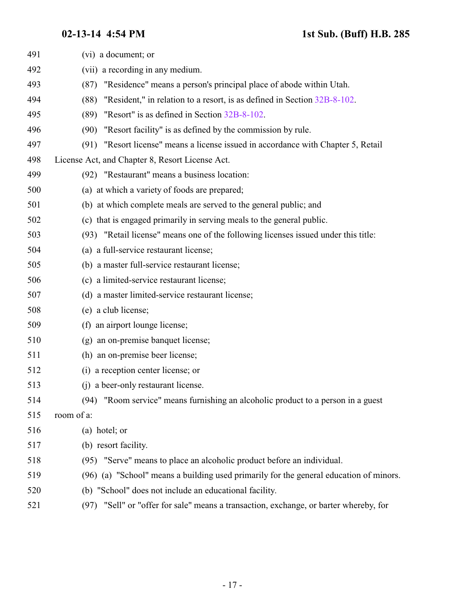| 491 | (vi) a document; or                                                                    |
|-----|----------------------------------------------------------------------------------------|
| 492 | (vii) a recording in any medium.                                                       |
| 493 | "Residence" means a person's principal place of abode within Utah.<br>(87)             |
| 494 | "Resident," in relation to a resort, is as defined in Section 32B-8-102.<br>(88)       |
| 495 | "Resort" is as defined in Section 32B-8-102.<br>(89)                                   |
| 496 | "Resort facility" is as defined by the commission by rule.<br>(90)                     |
| 497 | (91) "Resort license" means a license issued in accordance with Chapter 5, Retail      |
| 498 | License Act, and Chapter 8, Resort License Act.                                        |
| 499 | (92) "Restaurant" means a business location:                                           |
| 500 | (a) at which a variety of foods are prepared;                                          |
| 501 | (b) at which complete meals are served to the general public; and                      |
| 502 | (c) that is engaged primarily in serving meals to the general public.                  |
| 503 | (93) "Retail license" means one of the following licenses issued under this title:     |
| 504 | (a) a full-service restaurant license;                                                 |
| 505 | (b) a master full-service restaurant license;                                          |
| 506 | (c) a limited-service restaurant license;                                              |
| 507 | (d) a master limited-service restaurant license;                                       |
| 508 | (e) a club license;                                                                    |
| 509 | (f) an airport lounge license;                                                         |
| 510 | (g) an on-premise banquet license;                                                     |
| 511 | (h) an on-premise beer license;                                                        |
| 512 | (i) a reception center license; or                                                     |
| 513 | (i) a beer-only restaurant license.                                                    |
| 514 | "Room service" means furnishing an alcoholic product to a person in a guest<br>(94)    |
| 515 | room of a:                                                                             |
| 516 | (a) hotel; or                                                                          |
| 517 | (b) resort facility.                                                                   |
| 518 | (95) "Serve" means to place an alcoholic product before an individual.                 |
| 519 | (96) (a) "School" means a building used primarily for the general education of minors. |
| 520 | (b) "School" does not include an educational facility.                                 |
| 521 | (97) "Sell" or "offer for sale" means a transaction, exchange, or barter whereby, for  |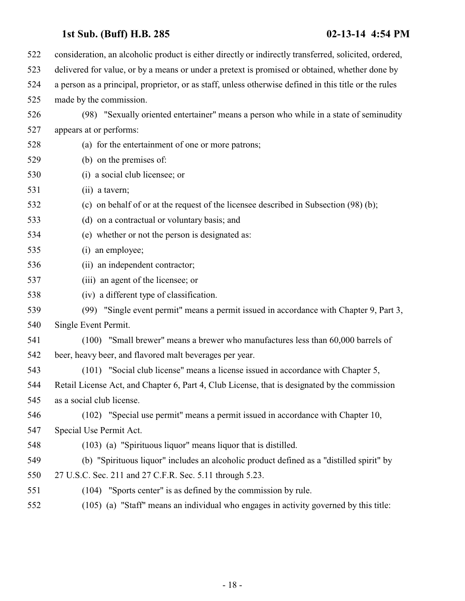| 522 | consideration, an alcoholic product is either directly or indirectly transferred, solicited, ordered, |
|-----|-------------------------------------------------------------------------------------------------------|
| 523 | delivered for value, or by a means or under a pretext is promised or obtained, whether done by        |
| 524 | a person as a principal, proprietor, or as staff, unless otherwise defined in this title or the rules |
| 525 | made by the commission.                                                                               |
| 526 | (98) "Sexually oriented entertainer" means a person who while in a state of seminudity                |
| 527 | appears at or performs:                                                                               |
| 528 | (a) for the entertainment of one or more patrons;                                                     |
| 529 | (b) on the premises of:                                                                               |
| 530 | (i) a social club licensee; or                                                                        |
| 531 | (ii) a tavern;                                                                                        |
| 532 | (c) on behalf of or at the request of the licensee described in Subsection (98) (b);                  |
| 533 | (d) on a contractual or voluntary basis; and                                                          |
| 534 | (e) whether or not the person is designated as:                                                       |
| 535 | (i) an employee;                                                                                      |
| 536 | (ii) an independent contractor;                                                                       |
| 537 | (iii) an agent of the licensee; or                                                                    |
| 538 | (iv) a different type of classification.                                                              |
| 539 | (99) "Single event permit" means a permit issued in accordance with Chapter 9, Part 3,                |
| 540 | Single Event Permit.                                                                                  |
| 541 | (100) "Small brewer" means a brewer who manufactures less than 60,000 barrels of                      |
| 542 | beer, heavy beer, and flavored malt beverages per year.                                               |
| 543 | (101) "Social club license" means a license issued in accordance with Chapter 5,                      |
| 544 | Retail License Act, and Chapter 6, Part 4, Club License, that is designated by the commission         |
| 545 | as a social club license.                                                                             |
| 546 | (102) "Special use permit" means a permit issued in accordance with Chapter 10,                       |
| 547 | Special Use Permit Act.                                                                               |
| 548 | (103) (a) "Spirituous liquor" means liquor that is distilled.                                         |
| 549 | (b) "Spirituous liquor" includes an alcoholic product defined as a "distilled spirit" by              |
| 550 | 27 U.S.C. Sec. 211 and 27 C.F.R. Sec. 5.11 through 5.23.                                              |
| 551 | (104) "Sports center" is as defined by the commission by rule.                                        |
| 552 | (105) (a) "Staff" means an individual who engages in activity governed by this title:                 |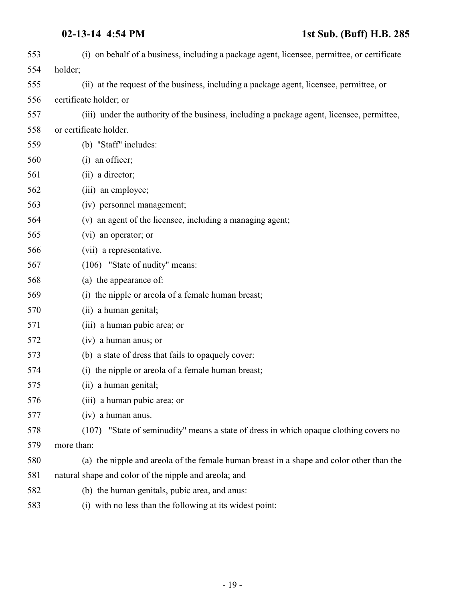| 553 | (i) on behalf of a business, including a package agent, licensee, permittee, or certificate |
|-----|---------------------------------------------------------------------------------------------|
| 554 | holder;                                                                                     |
| 555 | (ii) at the request of the business, including a package agent, licensee, permittee, or     |
| 556 | certificate holder; or                                                                      |
| 557 | (iii) under the authority of the business, including a package agent, licensee, permittee,  |
| 558 | or certificate holder.                                                                      |
| 559 | (b) "Staff" includes:                                                                       |
| 560 | (i) an officer;                                                                             |
| 561 | (ii) a director;                                                                            |
| 562 | (iii) an employee;                                                                          |
| 563 | (iv) personnel management;                                                                  |
| 564 | (v) an agent of the licensee, including a managing agent;                                   |
| 565 | (vi) an operator; or                                                                        |
| 566 | (vii) a representative.                                                                     |
| 567 | (106) "State of nudity" means:                                                              |
| 568 | (a) the appearance of:                                                                      |
| 569 | (i) the nipple or areola of a female human breast;                                          |
| 570 | (ii) a human genital;                                                                       |
| 571 | (iii) a human pubic area; or                                                                |
| 572 | (iv) a human anus; or                                                                       |
| 573 | (b) a state of dress that fails to opaquely cover:                                          |
| 574 | (i) the nipple or areola of a female human breast;                                          |
| 575 | (ii) a human genital;                                                                       |
| 576 | (iii) a human pubic area; or                                                                |
| 577 | (iv) a human anus.                                                                          |
| 578 | (107) "State of seminudity" means a state of dress in which opaque clothing covers no       |
| 579 | more than:                                                                                  |
| 580 | (a) the nipple and areola of the female human breast in a shape and color other than the    |
| 581 | natural shape and color of the nipple and areola; and                                       |
| 582 | (b) the human genitals, pubic area, and anus:                                               |
| 583 | (i) with no less than the following at its widest point:                                    |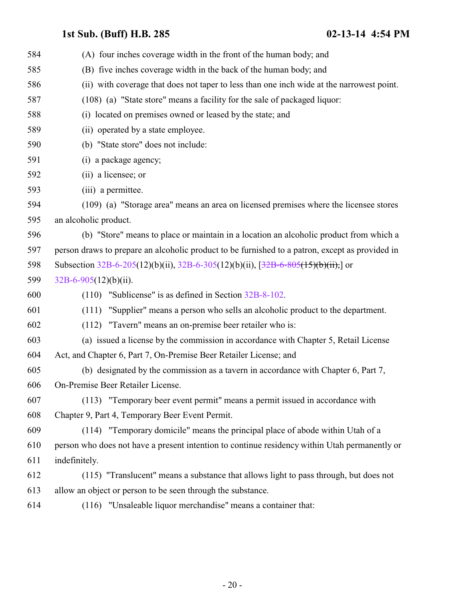| 584 | (A) four inches coverage width in the front of the human body; and                              |
|-----|-------------------------------------------------------------------------------------------------|
| 585 | (B) five inches coverage width in the back of the human body; and                               |
| 586 | (ii) with coverage that does not taper to less than one inch wide at the narrowest point.       |
| 587 | (108) (a) "State store" means a facility for the sale of packaged liquor:                       |
| 588 | (i) located on premises owned or leased by the state; and                                       |
| 589 | (ii) operated by a state employee.                                                              |
| 590 | (b) "State store" does not include:                                                             |
| 591 | (i) a package agency;                                                                           |
| 592 | (ii) a licensee; or                                                                             |
| 593 | (iii) a permittee.                                                                              |
| 594 | (109) (a) "Storage area" means an area on licensed premises where the licensee stores           |
| 595 | an alcoholic product.                                                                           |
| 596 | (b) "Store" means to place or maintain in a location an alcoholic product from which a          |
| 597 | person draws to prepare an alcoholic product to be furnished to a patron, except as provided in |
| 598 | Subsection $32B-6-205(12)(b)(ii)$ , $32B-6-305(12)(b)(ii)$ , $[32B-6-805(15)(b)(ii)]$ or        |
| 599 | $32B-6-905(12)(b)(ii)$ .                                                                        |
| 600 | $(110)$ "Sublicense" is as defined in Section 32B-8-102.                                        |
| 601 | (111) "Supplier" means a person who sells an alcoholic product to the department.               |
| 602 | (112) "Tavern" means an on-premise beer retailer who is:                                        |
| 603 | (a) issued a license by the commission in accordance with Chapter 5, Retail License             |
| 604 | Act, and Chapter 6, Part 7, On-Premise Beer Retailer License; and                               |
| 605 | (b) designated by the commission as a tavern in accordance with Chapter 6, Part 7,              |
| 606 | On-Premise Beer Retailer License.                                                               |
| 607 | (113) "Temporary beer event permit" means a permit issued in accordance with                    |
| 608 | Chapter 9, Part 4, Temporary Beer Event Permit.                                                 |
| 609 | (114) "Temporary domicile" means the principal place of abode within Utah of a                  |
| 610 | person who does not have a present intention to continue residency within Utah permanently or   |
| 611 | indefinitely.                                                                                   |
| 612 | (115) "Translucent" means a substance that allows light to pass through, but does not           |
| 613 | allow an object or person to be seen through the substance.                                     |
| 614 | (116) "Unsaleable liquor merchandise" means a container that:                                   |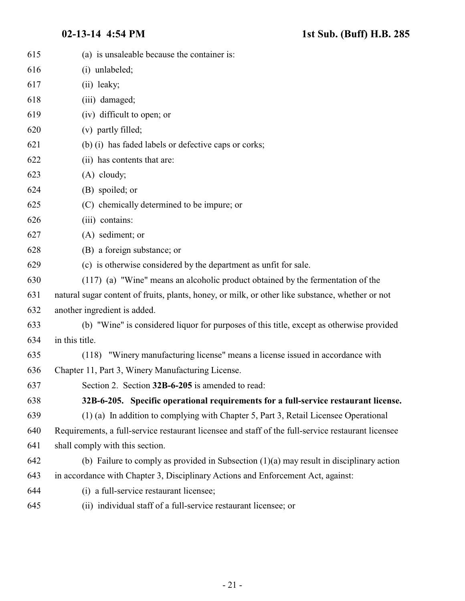<span id="page-20-0"></span>

| 615 | (a) is unsaleable because the container is:                                                        |
|-----|----------------------------------------------------------------------------------------------------|
| 616 | (i) unlabeled;                                                                                     |
| 617 | (ii) leaky;                                                                                        |
| 618 | (iii) damaged;                                                                                     |
| 619 | (iv) difficult to open; or                                                                         |
| 620 | (v) partly filled;                                                                                 |
| 621 | (b) (i) has faded labels or defective caps or corks;                                               |
| 622 | (ii) has contents that are:                                                                        |
| 623 | $(A)$ cloudy;                                                                                      |
| 624 | (B) spoiled; or                                                                                    |
| 625 | (C) chemically determined to be impure; or                                                         |
| 626 | (iii) contains:                                                                                    |
| 627 | (A) sediment; or                                                                                   |
| 628 | (B) a foreign substance; or                                                                        |
| 629 | (c) is otherwise considered by the department as unfit for sale.                                   |
| 630 | (117) (a) "Wine" means an alcoholic product obtained by the fermentation of the                    |
| 631 | natural sugar content of fruits, plants, honey, or milk, or other like substance, whether or not   |
| 632 | another ingredient is added.                                                                       |
| 633 | (b) "Wine" is considered liquor for purposes of this title, except as otherwise provided           |
| 634 | in this title.                                                                                     |
| 635 | (118) "Winery manufacturing license" means a license issued in accordance with                     |
| 636 | Chapter 11, Part 3, Winery Manufacturing License.                                                  |
| 637 | Section 2. Section 32B-6-205 is amended to read:                                                   |
| 638 | 32B-6-205. Specific operational requirements for a full-service restaurant license.                |
| 639 | (1) (a) In addition to complying with Chapter 5, Part 3, Retail Licensee Operational               |
| 640 | Requirements, a full-service restaurant licensee and staff of the full-service restaurant licensee |
| 641 | shall comply with this section.                                                                    |
| 642 | (b) Failure to comply as provided in Subsection $(1)(a)$ may result in disciplinary action         |
| 643 | in accordance with Chapter 3, Disciplinary Actions and Enforcement Act, against:                   |
| 644 | (i) a full-service restaurant licensee;                                                            |
| 645 | (ii) individual staff of a full-service restaurant licensee; or                                    |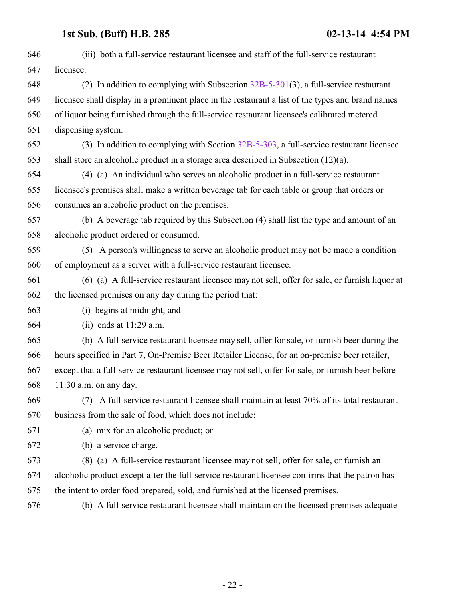| 646 | (iii) both a full-service restaurant licensee and staff of the full-service restaurant              |
|-----|-----------------------------------------------------------------------------------------------------|
| 647 | licensee.                                                                                           |
| 648 | (2) In addition to complying with Subsection $32B-5-301(3)$ , a full-service restaurant             |
| 649 | licensee shall display in a prominent place in the restaurant a list of the types and brand names   |
| 650 | of liquor being furnished through the full-service restaurant licensee's calibrated metered         |
| 651 | dispensing system.                                                                                  |
| 652 | (3) In addition to complying with Section $32B-5-303$ , a full-service restaurant licensee          |
| 653 | shall store an alcoholic product in a storage area described in Subsection $(12)(a)$ .              |
| 654 | (4) (a) An individual who serves an alcoholic product in a full-service restaurant                  |
| 655 | licensee's premises shall make a written beverage tab for each table or group that orders or        |
| 656 | consumes an alcoholic product on the premises.                                                      |
| 657 | (b) A beverage tab required by this Subsection (4) shall list the type and amount of an             |
| 658 | alcoholic product ordered or consumed.                                                              |
| 659 | (5) A person's willingness to serve an alcoholic product may not be made a condition                |
| 660 | of employment as a server with a full-service restaurant licensee.                                  |
| 661 | (6) (a) A full-service restaurant licensee may not sell, offer for sale, or furnish liquor at       |
| 662 | the licensed premises on any day during the period that:                                            |
| 663 | (i) begins at midnight; and                                                                         |
| 664 | (ii) ends at $11:29$ a.m.                                                                           |
| 665 | (b) A full-service restaurant licensee may sell, offer for sale, or furnish beer during the         |
| 666 | hours specified in Part 7, On-Premise Beer Retailer License, for an on-premise beer retailer,       |
| 667 | except that a full-service restaurant licensee may not sell, offer for sale, or furnish beer before |
| 668 | $11:30$ a.m. on any day.                                                                            |
| 669 | A full-service restaurant licensee shall maintain at least 70% of its total restaurant<br>(7)       |
| 670 | business from the sale of food, which does not include:                                             |
| 671 | (a) mix for an alcoholic product; or                                                                |
| 672 | (b) a service charge.                                                                               |
| 673 | (8) (a) A full-service restaurant licensee may not sell, offer for sale, or furnish an              |
| 674 | alcoholic product except after the full-service restaurant licensee confirms that the patron has    |
| 675 | the intent to order food prepared, sold, and furnished at the licensed premises.                    |
| 676 | (b) A full-service restaurant licensee shall maintain on the licensed premises adequate             |
|     |                                                                                                     |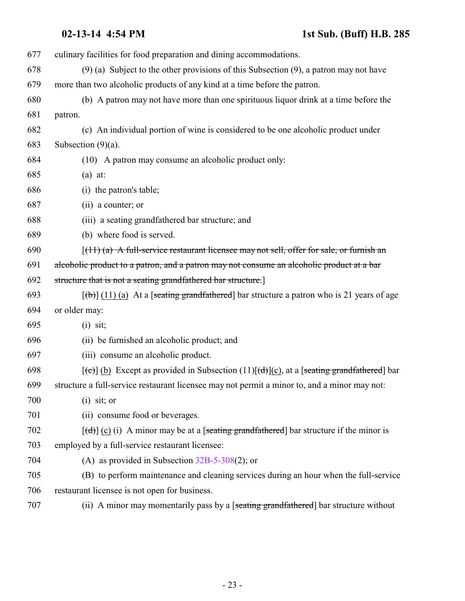| 677 | culinary facilities for food preparation and dining accommodations.                                                               |
|-----|-----------------------------------------------------------------------------------------------------------------------------------|
| 678 | $(9)$ (a) Subject to the other provisions of this Subsection $(9)$ , a patron may not have                                        |
| 679 | more than two alcoholic products of any kind at a time before the patron.                                                         |
| 680 | (b) A patron may not have more than one spirituous liquor drink at a time before the                                              |
| 681 | patron.                                                                                                                           |
| 682 | (c) An individual portion of wine is considered to be one alcoholic product under                                                 |
| 683 | Subsection $(9)(a)$ .                                                                                                             |
| 684 | (10) A patron may consume an alcoholic product only:                                                                              |
| 685 | $(a)$ at:                                                                                                                         |
| 686 | (i) the patron's table;                                                                                                           |
| 687 | (ii) a counter; or                                                                                                                |
| 688 | (iii) a seating grandfathered bar structure; and                                                                                  |
| 689 | (b) where food is served.                                                                                                         |
| 690 | $[(11)(a)$ A full-service restaurant licensee may not sell, offer for sale, or furnish an                                         |
| 691 | alcoholic product to a patron, and a patron may not consume an alcoholic product at a bar                                         |
| 692 | structure that is not a seating grandfathered bar structure.]                                                                     |
| 693 | $\left[\frac{1}{1}\right]$ (11) (a) At a [seating grandfathered] bar structure a patron who is 21 years of age                    |
| 694 | or older may:                                                                                                                     |
| 695 | $(i)$ sit;                                                                                                                        |
| 696 | (ii) be furnished an alcoholic product; and                                                                                       |
| 697 | (iii) consume an alcoholic product.                                                                                               |
| 698 | $[\text{f}\text{e}\text{e}]$ (b) Except as provided in Subsection (11) $[\text{f}\text{d}](c)$ , at a [seating grandfathered] bar |
| 699 | structure a full-service restaurant licensee may not permit a minor to, and a minor may not:                                      |
| 700 | $(i)$ sit; or                                                                                                                     |
| 701 | (ii) consume food or beverages.                                                                                                   |
| 702 | $[\text{d}(\text{d})]$ (c) (i) A minor may be at a [seating grandfathered] bar structure if the minor is                          |
| 703 | employed by a full-service restaurant licensee:                                                                                   |
| 704 | (A) as provided in Subsection $32B-5-308(2)$ ; or                                                                                 |
| 705 | (B) to perform maintenance and cleaning services during an hour when the full-service                                             |
| 706 | restaurant licensee is not open for business.                                                                                     |
| 707 | (ii) A minor may momentarily pass by a [seating grandfathered] bar structure without                                              |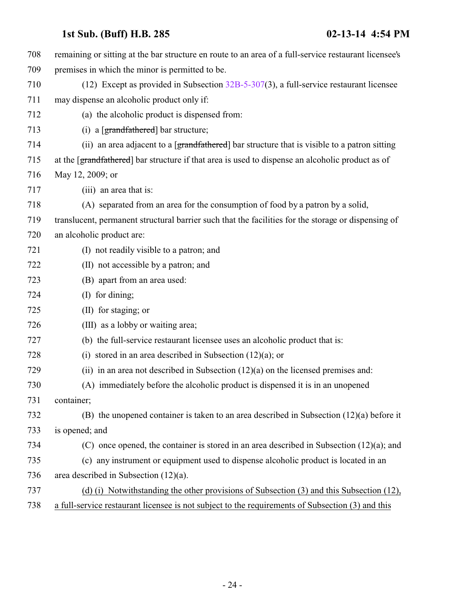| 708 | remaining or sitting at the bar structure en route to an area of a full-service restaurant licensee's |
|-----|-------------------------------------------------------------------------------------------------------|
| 709 | premises in which the minor is permitted to be.                                                       |
| 710 | (12) Except as provided in Subsection $32B-5-307(3)$ , a full-service restaurant licensee             |
| 711 | may dispense an alcoholic product only if:                                                            |
| 712 | (a) the alcoholic product is dispensed from:                                                          |
| 713 | (i) a $[grandfathered]$ bar structure;                                                                |
| 714 | (ii) an area adjacent to a [grandfathered] bar structure that is visible to a patron sitting          |
| 715 | at the [grandfathered] bar structure if that area is used to dispense an alcoholic product as of      |
| 716 | May 12, 2009; or                                                                                      |
| 717 | (iii) an area that is:                                                                                |
| 718 | (A) separated from an area for the consumption of food by a patron by a solid,                        |
| 719 | translucent, permanent structural barrier such that the facilities for the storage or dispensing of   |
| 720 | an alcoholic product are:                                                                             |
| 721 | (I) not readily visible to a patron; and                                                              |
| 722 | (II) not accessible by a patron; and                                                                  |
| 723 | (B) apart from an area used:                                                                          |
| 724 | (I) for dining;                                                                                       |
| 725 | (II) for staging; or                                                                                  |
| 726 | (III) as a lobby or waiting area;                                                                     |
| 727 | (b) the full-service restaurant licensee uses an alcoholic product that is:                           |
| 728 | (i) stored in an area described in Subsection $(12)(a)$ ; or                                          |
| 729 | (ii) in an area not described in Subsection $(12)(a)$ on the licensed premises and:                   |
| 730 | (A) immediately before the alcoholic product is dispensed it is in an unopened                        |
| 731 | container;                                                                                            |
| 732 | (B) the unopened container is taken to an area described in Subsection $(12)(a)$ before it            |
| 733 | is opened; and                                                                                        |
| 734 | (C) once opened, the container is stored in an area described in Subsection $(12)(a)$ ; and           |
| 735 | (c) any instrument or equipment used to dispense alcoholic product is located in an                   |
| 736 | area described in Subsection $(12)(a)$ .                                                              |
| 737 | (d) (i) Notwithstanding the other provisions of Subsection (3) and this Subsection (12),              |
| 738 | a full-service restaurant licensee is not subject to the requirements of Subsection (3) and this      |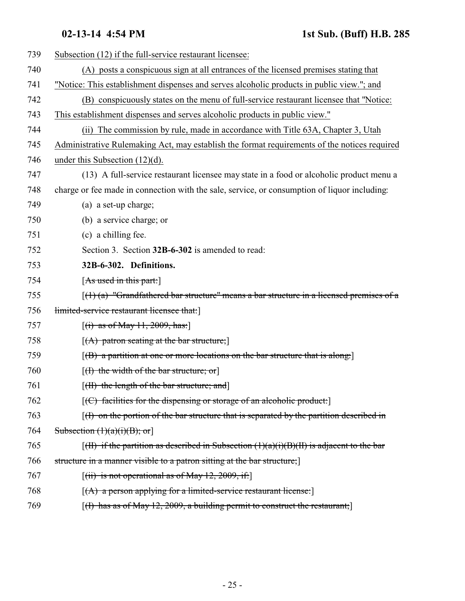<span id="page-24-0"></span>

| 739 | Subsection (12) if the full-service restaurant licensee:                                                         |
|-----|------------------------------------------------------------------------------------------------------------------|
| 740 | (A) posts a conspicuous sign at all entrances of the licensed premises stating that                              |
| 741 | "Notice: This establishment dispenses and serves alcoholic products in public view."; and                        |
| 742 | (B) conspicuously states on the menu of full-service restaurant licensee that "Notice:                           |
| 743 | This establishment dispenses and serves alcoholic products in public view."                                      |
| 744 | (ii) The commission by rule, made in accordance with Title 63A, Chapter 3, Utah                                  |
| 745 | Administrative Rulemaking Act, may establish the format requirements of the notices required                     |
| 746 | under this Subsection $(12)(d)$ .                                                                                |
| 747 | (13) A full-service restaurant licensee may state in a food or alcoholic product menu a                          |
| 748 | charge or fee made in connection with the sale, service, or consumption of liquor including:                     |
| 749 | (a) a set-up charge;                                                                                             |
| 750 | (b) a service charge; or                                                                                         |
| 751 | (c) a chilling fee.                                                                                              |
| 752 | Section 3. Section 32B-6-302 is amended to read:                                                                 |
| 753 | 32B-6-302. Definitions.                                                                                          |
| 754 | [As used in this part:]                                                                                          |
| 755 | $\left[\frac{1}{1}(1)(a)\right]$ "Grandfathered bar structure" means a bar structure in a licensed premises of a |
| 756 | limited-service restaurant licensee that:                                                                        |
| 757 | $[(i)$ as of May 11, 2009, has:                                                                                  |
| 758 | $[(A)$ patron seating at the bar structure;                                                                      |
| 759 | $[$ (B) a partition at one or more locations on the bar structure that is along:                                 |
| 760 | $[(1)$ the width of the bar structure; or                                                                        |
| 761 | [(II) the length of the bar structure; and]                                                                      |
| 762 | $[$ (C) facilities for the dispensing or storage of an alcoholic product:                                        |
| 763 | $(f)$ on the portion of the bar structure that is separated by the partition described in                        |
| 764 | Subsection $(1)(a)(i)(B)$ ; or                                                                                   |
| 765 | $\left[\frac{H}{H}\right]$ if the partition as described in Subsection $(1)(a)(i)(B)(H)$ is adjacent to the bar  |
| 766 | structure in a manner visible to a patron sitting at the bar structure;                                          |
| 767 | $[(iii)$ is not operational as of May 12, 2009, if:                                                              |
| 768 | $[(A)$ a person applying for a limited-service restaurant license:                                               |
| 769 | $[(1)$ has as of May 12, 2009, a building permit to construct the restaurant;                                    |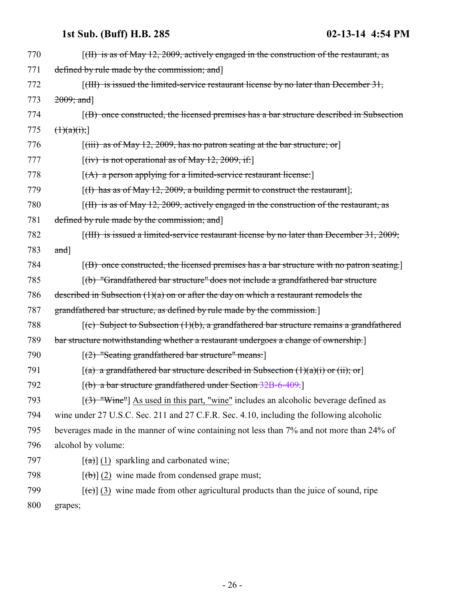| 770 | $\left[\right(H\right)$ is as of May 12, 2009, actively engaged in the construction of the restaurant, as        |
|-----|------------------------------------------------------------------------------------------------------------------|
| 771 | defined by rule made by the commission; and                                                                      |
| 772 | $\left[\right(H\left\{H\right\})$ is issued the limited-service restaurant license by no later than December 31, |
| 773 | $2009$ ; and                                                                                                     |
| 774 | $(6)$ once constructed, the licensed premises has a bar structure described in Subsection                        |
| 775 | (1)(a)(i);                                                                                                       |
| 776 | $[(iii)$ as of May 12, 2009, has no patron seating at the bar structure; or                                      |
| 777 | $[(iv)$ is not operational as of May 12, 2009, if:                                                               |
| 778 | $[(A)$ a person applying for a limited-service restaurant license:                                               |
| 779 | [(I) has as of May 12, 2009, a building permit to construct the restaurant];                                     |
| 780 | $\left[\right(H\right)$ is as of May 12, 2009, actively engaged in the construction of the restaurant, as        |
| 781 | defined by rule made by the commission; and                                                                      |
| 782 | $[({\text{HH}})$ is issued a limited-service restaurant license by no later than December 31, 2009;              |
| 783 | and]                                                                                                             |
| 784 | $[$ (B) once constructed, the licensed premises has a bar structure with no patron seating.                      |
| 785 | [(b) "Grandfathered bar structure" does not include a grandfathered bar structure                                |
| 786 | described in Subsection $(1)(a)$ on or after the day on which a restaurant remodels the                          |
| 787 | grandfathered bar structure, as defined by rule made by the commission.                                          |
| 788 | $(c)$ Subject to Subsection (1)(b), a grandfathered bar structure remains a grandfathered                        |
| 789 | bar structure notwithstanding whether a restaurant undergoes a change of ownership.                              |
| 790 | $[(2)$ "Seating grandfathered bar structure" means:                                                              |
| 791 | $[(a)$ a grandfathered bar structure described in Subsection $(1)(a)(i)$ or $(ii);$ or                           |
| 792 | $[(b)$ a bar structure grandfathered under Section 32B-6-409.                                                    |
| 793 | $[3]$ "Wine"] As used in this part, "wine" includes an alcoholic beverage defined as                             |
| 794 | wine under 27 U.S.C. Sec. 211 and 27 C.F.R. Sec. 4.10, including the following alcoholic                         |
| 795 | beverages made in the manner of wine containing not less than 7% and not more than 24% of                        |
| 796 | alcohol by volume:                                                                                               |
| 797 | $\left[\frac{a}{a}\right]$ (1) sparkling and carbonated wine;                                                    |
| 798 | $[\text{ }(\text{ }b)]$ (2) wine made from condensed grape must;                                                 |
| 799 | $[\text{e}(\epsilon)]$ (3) wine made from other agricultural products than the juice of sound, ripe              |
| 800 | grapes;                                                                                                          |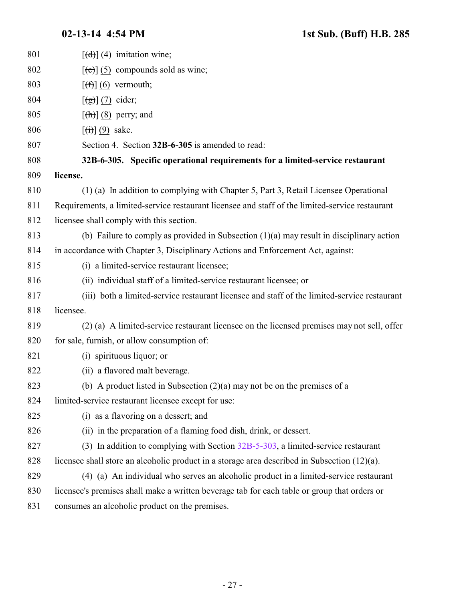<span id="page-26-0"></span>

| 801 | $[\text{d} \cdot]$ (4) imitation wine;                                                          |
|-----|-------------------------------------------------------------------------------------------------|
| 802 | $[\text{e}(\text{e})]$ (5) compounds sold as wine;                                              |
| 803 | $[\left(\frac{f}{f}\right)](6)$ vermouth;                                                       |
| 804 | $[\left(\frac{1}{g}\right)]$ (7) cider;                                                         |
| 805 | $[\frac{h}{\hbar}]$ (8) perry; and                                                              |
| 806 | $[\left(\mathbf{\hat{t}}\right)](9)$ sake.                                                      |
| 807 | Section 4. Section 32B-6-305 is amended to read:                                                |
| 808 | 32B-6-305. Specific operational requirements for a limited-service restaurant                   |
| 809 | license.                                                                                        |
| 810 | (1) (a) In addition to complying with Chapter 5, Part 3, Retail Licensee Operational            |
| 811 | Requirements, a limited-service restaurant licensee and staff of the limited-service restaurant |
| 812 | licensee shall comply with this section.                                                        |
| 813 | (b) Failure to comply as provided in Subsection $(1)(a)$ may result in disciplinary action      |
| 814 | in accordance with Chapter 3, Disciplinary Actions and Enforcement Act, against:                |
| 815 | (i) a limited-service restaurant licensee;                                                      |
| 816 | (ii) individual staff of a limited-service restaurant licensee; or                              |
| 817 | (iii) both a limited-service restaurant licensee and staff of the limited-service restaurant    |
| 818 | licensee.                                                                                       |
| 819 | (2) (a) A limited-service restaurant licensee on the licensed premises may not sell, offer      |
| 820 | for sale, furnish, or allow consumption of:                                                     |
| 821 | (i) spirituous liquor; or                                                                       |
| 822 | (ii) a flavored malt beverage.                                                                  |
| 823 | (b) A product listed in Subsection $(2)(a)$ may not be on the premises of a                     |
| 824 | limited-service restaurant licensee except for use:                                             |
| 825 | (i) as a flavoring on a dessert; and                                                            |
| 826 | (ii) in the preparation of a flaming food dish, drink, or dessert.                              |
| 827 | (3) In addition to complying with Section $32B-5-303$ , a limited-service restaurant            |
| 828 | licensee shall store an alcoholic product in a storage area described in Subsection (12)(a).    |
| 829 | (4) (a) An individual who serves an alcoholic product in a limited-service restaurant           |
| 830 | licensee's premises shall make a written beverage tab for each table or group that orders or    |
| 831 | consumes an alcoholic product on the premises.                                                  |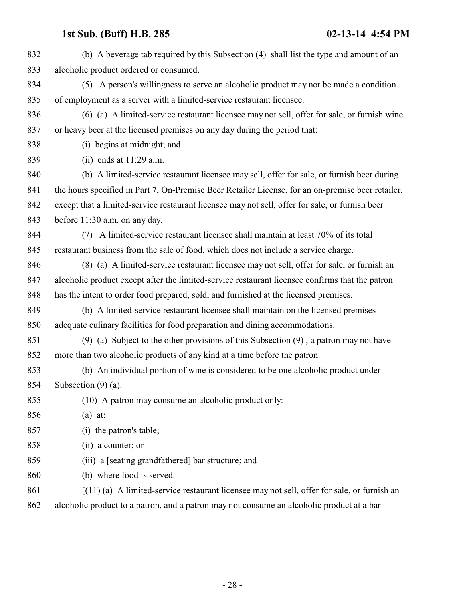| 832 | (b) A beverage tab required by this Subsection (4) shall list the type and amount of an           |
|-----|---------------------------------------------------------------------------------------------------|
| 833 | alcoholic product ordered or consumed.                                                            |
| 834 | (5) A person's willingness to serve an alcoholic product may not be made a condition              |
| 835 | of employment as a server with a limited-service restaurant licensee.                             |
| 836 | (6) (a) A limited-service restaurant licensee may not sell, offer for sale, or furnish wine       |
| 837 | or heavy beer at the licensed premises on any day during the period that:                         |
| 838 | (i) begins at midnight; and                                                                       |
| 839 | (ii) ends at $11:29$ a.m.                                                                         |
| 840 | (b) A limited-service restaurant licensee may sell, offer for sale, or furnish beer during        |
| 841 | the hours specified in Part 7, On-Premise Beer Retailer License, for an on-premise beer retailer, |
| 842 | except that a limited-service restaurant licensee may not sell, offer for sale, or furnish beer   |
| 843 | before 11:30 a.m. on any day.                                                                     |
| 844 | (7) A limited-service restaurant licensee shall maintain at least 70% of its total                |
| 845 | restaurant business from the sale of food, which does not include a service charge.               |
| 846 | (8) (a) A limited-service restaurant licensee may not sell, offer for sale, or furnish an         |
| 847 | alcoholic product except after the limited-service restaurant licensee confirms that the patron   |
| 848 | has the intent to order food prepared, sold, and furnished at the licensed premises.              |
| 849 | (b) A limited-service restaurant licensee shall maintain on the licensed premises                 |
| 850 | adequate culinary facilities for food preparation and dining accommodations.                      |
| 851 | $(9)$ (a) Subject to the other provisions of this Subsection $(9)$ , a patron may not have        |
| 852 | more than two alcoholic products of any kind at a time before the patron.                         |
| 853 | (b) An individual portion of wine is considered to be one alcoholic product under                 |
| 854 | Subsection $(9)$ (a).                                                                             |
| 855 | (10) A patron may consume an alcoholic product only:                                              |
| 856 | $(a)$ at:                                                                                         |
| 857 | (i) the patron's table;                                                                           |
| 858 | (ii) a counter; or                                                                                |
| 859 | (iii) a [seating grandfathered] bar structure; and                                                |
| 860 | (b) where food is served.                                                                         |
| 861 | $(11)$ (a) A limited-service restaurant licensee may not sell, offer for sale, or furnish an      |
| 862 | alcoholic product to a patron, and a patron may not consume an alcoholic product at a bar         |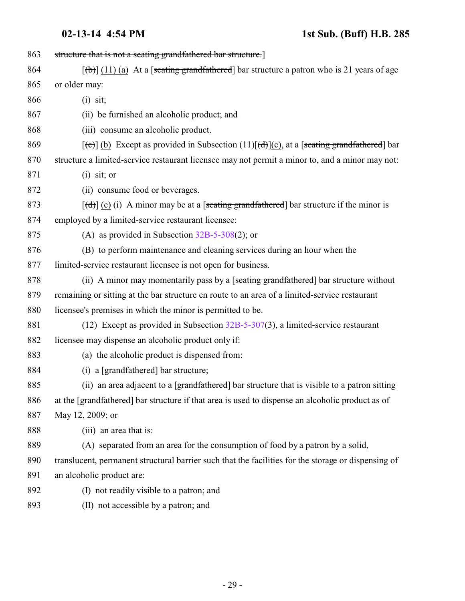| 863 | structure that is not a seating grandfathered bar structure.]                                                   |
|-----|-----------------------------------------------------------------------------------------------------------------|
| 864 | $[\phi]$ (11) (a) At a [seating grandfathered] bar structure a patron who is 21 years of age                    |
| 865 | or older may:                                                                                                   |
| 866 | $(i)$ sit;                                                                                                      |
| 867 | (ii) be furnished an alcoholic product; and                                                                     |
| 868 | (iii) consume an alcoholic product.                                                                             |
| 869 | $[\text{(-c)}]$ (b) Except as provided in Subsection (11) $[\text{(-d)}]$ (c), at a [seating grandfathered] bar |
| 870 | structure a limited-service restaurant licensee may not permit a minor to, and a minor may not:                 |
| 871 | $(i)$ sit; or                                                                                                   |
| 872 | (ii) consume food or beverages.                                                                                 |
| 873 | $[\text{d} \cdot \text{d}]$ (c) (i) A minor may be at a [seating grandfathered] bar structure if the minor is   |
| 874 | employed by a limited-service restaurant licensee:                                                              |
| 875 | (A) as provided in Subsection $32B-5-308(2)$ ; or                                                               |
| 876 | (B) to perform maintenance and cleaning services during an hour when the                                        |
| 877 | limited-service restaurant licensee is not open for business.                                                   |
| 878 | (ii) A minor may momentarily pass by a [seating grandfathered] bar structure without                            |
| 879 | remaining or sitting at the bar structure en route to an area of a limited-service restaurant                   |
| 880 | licensee's premises in which the minor is permitted to be.                                                      |
| 881 | (12) Except as provided in Subsection $32B-5-307(3)$ , a limited-service restaurant                             |
| 882 | licensee may dispense an alcoholic product only if:                                                             |
| 883 | (a) the alcoholic product is dispensed from:                                                                    |
| 884 | (i) a $[grandfathered]$ bar structure;                                                                          |
| 885 | (ii) an area adjacent to a [grandfathered] bar structure that is visible to a patron sitting                    |
| 886 | at the [grandfathered] bar structure if that area is used to dispense an alcoholic product as of                |
| 887 | May 12, 2009; or                                                                                                |
| 888 | (iii) an area that is:                                                                                          |
| 889 | (A) separated from an area for the consumption of food by a patron by a solid,                                  |
| 890 | translucent, permanent structural barrier such that the facilities for the storage or dispensing of             |
| 891 | an alcoholic product are:                                                                                       |
| 892 | (I) not readily visible to a patron; and                                                                        |
| 893 | (II) not accessible by a patron; and                                                                            |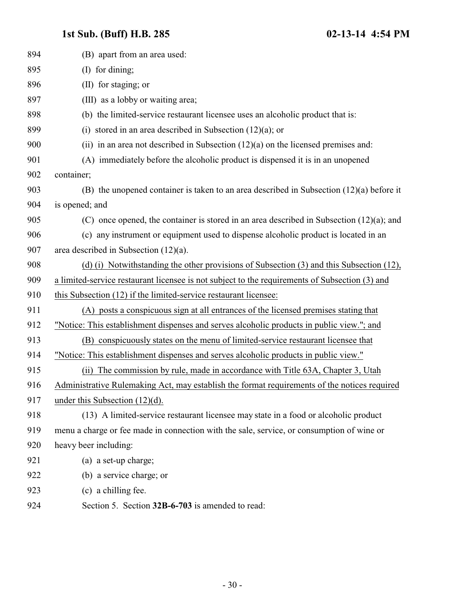<span id="page-29-0"></span>

| 894 | (B) apart from an area used:                                                                   |
|-----|------------------------------------------------------------------------------------------------|
| 895 | (I) for dining;                                                                                |
| 896 | (II) for staging; or                                                                           |
| 897 | (III) as a lobby or waiting area;                                                              |
| 898 | (b) the limited-service restaurant licensee uses an alcoholic product that is:                 |
| 899 | stored in an area described in Subsection $(12)(a)$ ; or<br>(i)                                |
| 900 | (ii) in an area not described in Subsection $(12)(a)$ on the licensed premises and:            |
| 901 | (A) immediately before the alcoholic product is dispensed it is in an unopened                 |
| 902 | container;                                                                                     |
| 903 | (B) the unopened container is taken to an area described in Subsection $(12)(a)$ before it     |
| 904 | is opened; and                                                                                 |
| 905 | $(C)$ once opened, the container is stored in an area described in Subsection $(12)(a)$ ; and  |
| 906 | (c) any instrument or equipment used to dispense alcoholic product is located in an            |
| 907 | area described in Subsection $(12)(a)$ .                                                       |
| 908 | (d) (i) Notwithstanding the other provisions of Subsection (3) and this Subsection (12),       |
| 909 | a limited-service restaurant licensee is not subject to the requirements of Subsection (3) and |
| 910 | this Subsection (12) if the limited-service restaurant licensee:                               |
| 911 | (A) posts a conspicuous sign at all entrances of the licensed premises stating that            |
| 912 | "Notice: This establishment dispenses and serves alcoholic products in public view."; and      |
| 913 | (B) conspicuously states on the menu of limited-service restaurant licensee that               |
| 914 | "Notice: This establishment dispenses and serves alcoholic products in public view."           |
| 915 | The commission by rule, made in accordance with Title 63A, Chapter 3, Utah<br>(ii)             |
| 916 | Administrative Rulemaking Act, may establish the format requirements of the notices required   |
| 917 | under this Subsection $(12)(d)$ .                                                              |
| 918 | (13) A limited-service restaurant licensee may state in a food or alcoholic product            |
| 919 | menu a charge or fee made in connection with the sale, service, or consumption of wine or      |
| 920 | heavy beer including:                                                                          |
| 921 | (a) a set-up charge;                                                                           |
| 922 | (b) a service charge; or                                                                       |
| 923 | (c) a chilling fee.                                                                            |
| 924 | Section 5. Section 32B-6-703 is amended to read:                                               |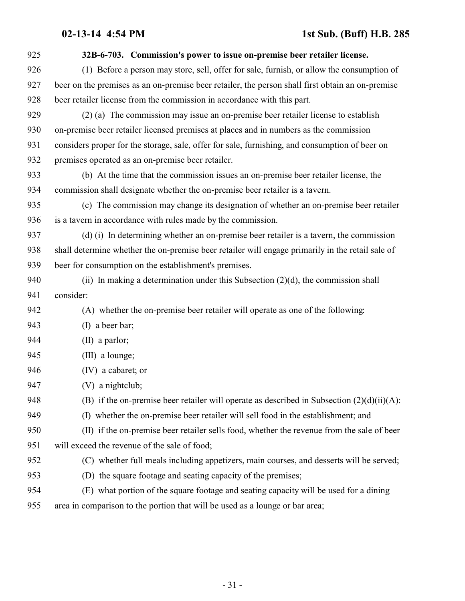| 925 | 32B-6-703. Commission's power to issue on-premise beer retailer license.                         |
|-----|--------------------------------------------------------------------------------------------------|
| 926 | (1) Before a person may store, sell, offer for sale, furnish, or allow the consumption of        |
| 927 | beer on the premises as an on-premise beer retailer, the person shall first obtain an on-premise |
| 928 | beer retailer license from the commission in accordance with this part.                          |
| 929 | (2) (a) The commission may issue an on-premise beer retailer license to establish                |
| 930 | on-premise beer retailer licensed premises at places and in numbers as the commission            |
| 931 | considers proper for the storage, sale, offer for sale, furnishing, and consumption of beer on   |
| 932 | premises operated as an on-premise beer retailer.                                                |
| 933 | (b) At the time that the commission issues an on-premise beer retailer license, the              |
| 934 | commission shall designate whether the on-premise beer retailer is a tavern.                     |
| 935 | (c) The commission may change its designation of whether an on-premise beer retailer             |
| 936 | is a tavern in accordance with rules made by the commission.                                     |
| 937 | (d) (i) In determining whether an on-premise beer retailer is a tavern, the commission           |
| 938 | shall determine whether the on-premise beer retailer will engage primarily in the retail sale of |
| 939 | beer for consumption on the establishment's premises.                                            |
| 940 | (ii) In making a determination under this Subsection $(2)(d)$ , the commission shall             |
| 941 | consider:                                                                                        |
| 942 | (A) whether the on-premise beer retailer will operate as one of the following:                   |
| 943 | (I) a beer bar;                                                                                  |
| 944 | $(II)$ a parlor;                                                                                 |
| 945 | (III) a lounge;                                                                                  |
| 946 | (IV) a cabaret; or                                                                               |
| 947 | (V) a nightclub;                                                                                 |
| 948 | (B) if the on-premise beer retailer will operate as described in Subsection $(2)(d)(ii)(A)$ :    |
| 949 | (I) whether the on-premise beer retailer will sell food in the establishment; and                |
| 950 | (II) if the on-premise beer retailer sells food, whether the revenue from the sale of beer       |
| 951 | will exceed the revenue of the sale of food;                                                     |
| 952 | (C) whether full meals including appetizers, main courses, and desserts will be served;          |
| 953 | (D) the square footage and seating capacity of the premises;                                     |
| 954 | (E) what portion of the square footage and seating capacity will be used for a dining            |
| 955 | area in comparison to the portion that will be used as a lounge or bar area;                     |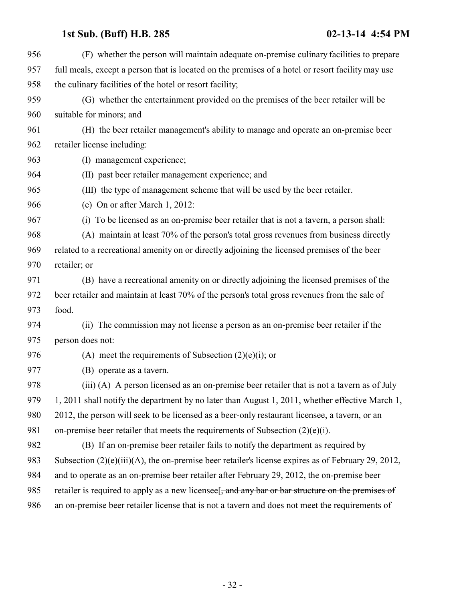| 956 | (F) whether the person will maintain adequate on-premise culinary facilities to prepare                        |
|-----|----------------------------------------------------------------------------------------------------------------|
| 957 | full meals, except a person that is located on the premises of a hotel or resort facility may use              |
| 958 | the culinary facilities of the hotel or resort facility;                                                       |
| 959 | (G) whether the entertainment provided on the premises of the beer retailer will be                            |
| 960 | suitable for minors; and                                                                                       |
| 961 | (H) the beer retailer management's ability to manage and operate an on-premise beer                            |
| 962 | retailer license including:                                                                                    |
| 963 | (I) management experience;                                                                                     |
| 964 | (II) past beer retailer management experience; and                                                             |
| 965 | (III) the type of management scheme that will be used by the beer retailer.                                    |
| 966 | (e) On or after March 1, 2012:                                                                                 |
| 967 | (i) To be licensed as an on-premise beer retailer that is not a tavern, a person shall:                        |
| 968 | (A) maintain at least 70% of the person's total gross revenues from business directly                          |
| 969 | related to a recreational amenity on or directly adjoining the licensed premises of the beer                   |
| 970 | retailer; or                                                                                                   |
| 971 | (B) have a recreational amenity on or directly adjoining the licensed premises of the                          |
| 972 | beer retailer and maintain at least 70% of the person's total gross revenues from the sale of                  |
| 973 | food.                                                                                                          |
| 974 | (ii) The commission may not license a person as an on-premise beer retailer if the                             |
| 975 | person does not:                                                                                               |
| 976 | (A) meet the requirements of Subsection $(2)(e)(i)$ ; or                                                       |
| 977 | (B) operate as a tavern.                                                                                       |
| 978 | (iii) (A) A person licensed as an on-premise beer retailer that is not a tavern as of July                     |
| 979 | 1, 2011 shall notify the department by no later than August 1, 2011, whether effective March 1,                |
| 980 | 2012, the person will seek to be licensed as a beer-only restaurant licensee, a tavern, or an                  |
| 981 | on-premise beer retailer that meets the requirements of Subsection $(2)(e)(i)$ .                               |
| 982 | (B) If an on-premise beer retailer fails to notify the department as required by                               |
| 983 | Subsection $(2)(e)(iii)(A)$ , the on-premise beer retailer's license expires as of February 29, 2012,          |
| 984 | and to operate as an on-premise beer retailer after February 29, 2012, the on-premise beer                     |
| 985 | retailer is required to apply as a new licensee <sup>[</sup> , and any bar or bar structure on the premises of |
| 986 | an on-premise beer retailer license that is not a tavern and does not meet the requirements of                 |
|     |                                                                                                                |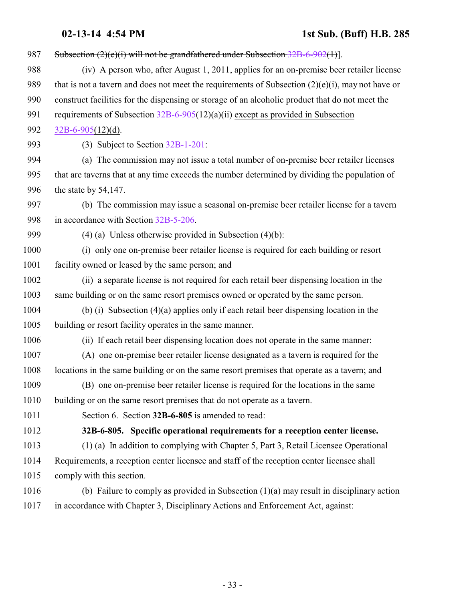<span id="page-32-0"></span>

| 987  | Subsection $(2)(e)(i)$ will not be grandfathered under Subsection $32B-6-902(1)$ .                  |
|------|-----------------------------------------------------------------------------------------------------|
| 988  | (iv) A person who, after August 1, 2011, applies for an on-premise beer retailer license            |
| 989  | that is not a tavern and does not meet the requirements of Subsection $(2)(e)(i)$ , may not have or |
| 990  | construct facilities for the dispensing or storage of an alcoholic product that do not meet the     |
| 991  | requirements of Subsection $32B-6-905(12)(a)(ii)$ except as provided in Subsection                  |
| 992  | $32B-6-905(12)(d)$ .                                                                                |
| 993  | (3) Subject to Section 32B-1-201:                                                                   |
| 994  | (a) The commission may not issue a total number of on-premise beer retailer licenses                |
| 995  | that are taverns that at any time exceeds the number determined by dividing the population of       |
| 996  | the state by $54,147$ .                                                                             |
| 997  | (b) The commission may issue a seasonal on-premise beer retailer license for a tavern               |
| 998  | in accordance with Section 32B-5-206.                                                               |
| 999  | $(4)$ (a) Unless otherwise provided in Subsection $(4)(b)$ :                                        |
| 1000 | (i) only one on-premise beer retailer license is required for each building or resort               |
| 1001 | facility owned or leased by the same person; and                                                    |
| 1002 | (ii) a separate license is not required for each retail beer dispensing location in the             |
| 1003 | same building or on the same resort premises owned or operated by the same person.                  |
| 1004 | (b) (i) Subsection $(4)(a)$ applies only if each retail beer dispensing location in the             |
| 1005 | building or resort facility operates in the same manner.                                            |
| 1006 | (ii) If each retail beer dispensing location does not operate in the same manner:                   |
| 1007 | (A) one on-premise beer retailer license designated as a tavern is required for the                 |
| 1008 | locations in the same building or on the same resort premises that operate as a tavern; and         |
| 1009 | (B) one on-premise beer retailer license is required for the locations in the same                  |
| 1010 | building or on the same resort premises that do not operate as a tavern.                            |
| 1011 | Section 6. Section 32B-6-805 is amended to read:                                                    |
| 1012 | 32B-6-805. Specific operational requirements for a reception center license.                        |
| 1013 | (1) (a) In addition to complying with Chapter 5, Part 3, Retail Licensee Operational                |
| 1014 | Requirements, a reception center licensee and staff of the reception center licensee shall          |
| 1015 | comply with this section.                                                                           |
| 1016 | (b) Failure to comply as provided in Subsection $(1)(a)$ may result in disciplinary action          |
| 1017 | in accordance with Chapter 3, Disciplinary Actions and Enforcement Act, against:                    |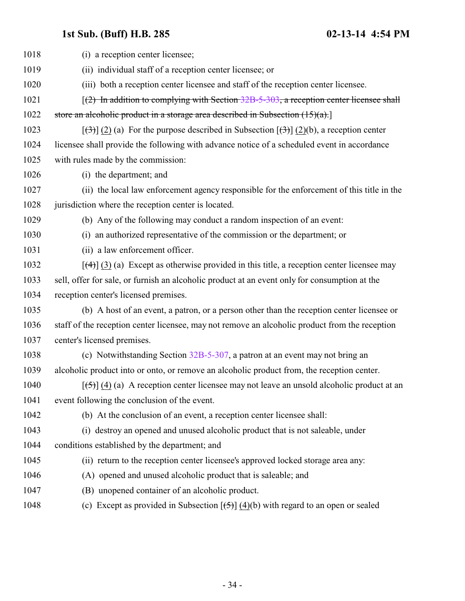| 1018 | (i) a reception center licensee;                                                                                                     |
|------|--------------------------------------------------------------------------------------------------------------------------------------|
| 1019 | (ii) individual staff of a reception center licensee; or                                                                             |
| 1020 | (iii) both a reception center licensee and staff of the reception center licensee.                                                   |
| 1021 | $(2)$ In addition to complying with Section 32B-5-303, a reception center licensee shall                                             |
| 1022 | store an alcoholic product in a storage area described in Subsection $(15)(a)$ .                                                     |
| 1023 | $[\left(\frac{1}{2}\right)]$ (2) (a) For the purpose described in Subsection $[\left(\frac{1}{2}\right)]$ (2)(b), a reception center |
| 1024 | licensee shall provide the following with advance notice of a scheduled event in accordance                                          |
| 1025 | with rules made by the commission:                                                                                                   |
| 1026 | (i) the department; and                                                                                                              |
| 1027 | (ii) the local law enforcement agency responsible for the enforcement of this title in the                                           |
| 1028 | jurisdiction where the reception center is located.                                                                                  |
| 1029 | (b) Any of the following may conduct a random inspection of an event:                                                                |
| 1030 | (i) an authorized representative of the commission or the department; or                                                             |
| 1031 | (ii) a law enforcement officer.                                                                                                      |
| 1032 | $[\frac{4}{3}]$ (3) (a) Except as otherwise provided in this title, a reception center licensee may                                  |
| 1033 | sell, offer for sale, or furnish an alcoholic product at an event only for consumption at the                                        |
| 1034 | reception center's licensed premises.                                                                                                |
| 1035 | (b) A host of an event, a patron, or a person other than the reception center licensee or                                            |
| 1036 | staff of the reception center licensee, may not remove an alcoholic product from the reception                                       |
| 1037 | center's licensed premises.                                                                                                          |
| 1038 | (c) Notwithstanding Section 32B-5-307, a patron at an event may not bring an                                                         |
| 1039 | alcoholic product into or onto, or remove an alcoholic product from, the reception center.                                           |
| 1040 | $[\frac{(-5)}{4}]$ (4) (a) A reception center licensee may not leave an unsold alcoholic product at an                               |
| 1041 | event following the conclusion of the event.                                                                                         |
| 1042 | (b) At the conclusion of an event, a reception center licensee shall:                                                                |
| 1043 | (i) destroy an opened and unused alcoholic product that is not saleable, under                                                       |
| 1044 | conditions established by the department; and                                                                                        |
| 1045 | (ii) return to the reception center licensee's approved locked storage area any:                                                     |
| 1046 | (A) opened and unused alcoholic product that is saleable; and                                                                        |
| 1047 | (B) unopened container of an alcoholic product.                                                                                      |
| 1048 | (c) Except as provided in Subsection $\overline{(\overline{5})}$ (4)(b) with regard to an open or sealed                             |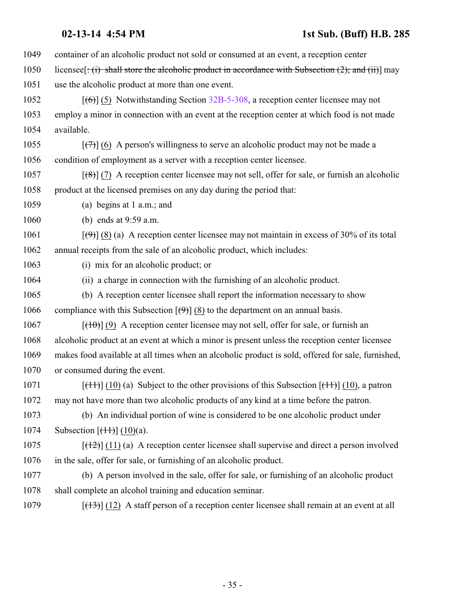- container of an alcoholic product not sold or consumed at an event, a reception center
- 1050 licensee  $[\div(\mathbf{i}) \cdot \mathbf{shall}$  store the alcoholic product in accordance with Subsection (2); and (ii)] may
- use the alcoholic product at more than one event.
- 1052 [(6)] (5) Notwithstanding Section [32B-5-308](http://le.utah.gov/UtahCode/SectionLookup.jsp?section=32b-5-308&session=2014GS), a reception center licensee may not employ a minor in connection with an event at the reception center at which food is not made available.
- 1055  $\left[\left(\frac{7}{7}\right)\right]$  (6) A person's willingness to serve an alcoholic product may not be made a condition of employment as a server with a reception center licensee.
- 1057  $\left[\left(\frac{8}{6}\right)\right]$  (7) A reception center licensee may not sell, offer for sale, or furnish an alcoholic product at the licensed premises on any day during the period that:
- (a) begins at 1 a.m.; and
- (b) ends at 9:59 a.m.

1061 [ $(\theta)$ ] (8) (a) A reception center licensee may not maintain in excess of 30% of its total annual receipts from the sale of an alcoholic product, which includes:

- (i) mix for an alcoholic product; or
- (ii) a charge in connection with the furnishing of an alcoholic product.
- (b) A reception center licensee shall report the information necessary to show 1066 compliance with this Subsection  $[\Theta]$  (8) to the department on an annual basis.
- [ $(10)$ ] (9) A reception center licensee may not sell, offer for sale, or furnish an alcoholic product at an event at which a minor is present unless the reception center licensee
- makes food available at all times when an alcoholic product is sold, offered for sale, furnished, or consumed during the event.
- 1071 [(11)] (10) (a) Subject to the other provisions of this Subsection  $[(11)]$  (10), a patron may not have more than two alcoholic products of any kind at a time before the patron.
- (b) An individual portion of wine is considered to be one alcoholic product under 1074 Subsection  $[(11)(10)(a)]$ .
- 1075  $[(12)(11)(a)$  A reception center licensee shall supervise and direct a person involved in the sale, offer for sale, or furnishing of an alcoholic product.
- (b) A person involved in the sale, offer for sale, or furnishing of an alcoholic product shall complete an alcohol training and education seminar.
- 1079  $\left[\frac{(13)}{(12)}\right]$  (12) A staff person of a reception center licensee shall remain at an event at all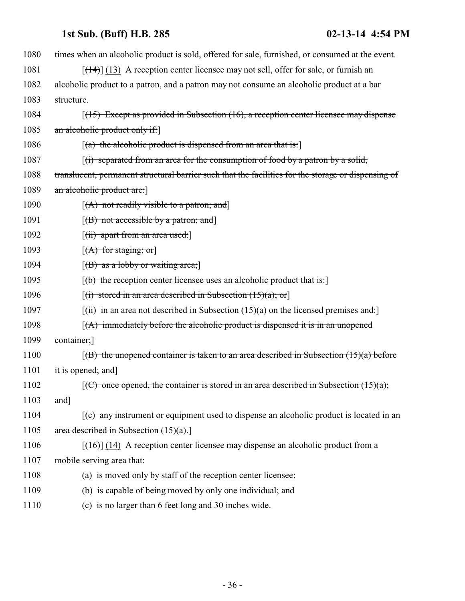| 1080 | times when an alcoholic product is sold, offered for sale, furnished, or consumed at the event.       |
|------|-------------------------------------------------------------------------------------------------------|
| 1081 | $[$ (14+)] (13) A reception center licensee may not sell, offer for sale, or furnish an               |
| 1082 | alcoholic product to a patron, and a patron may not consume an alcoholic product at a bar             |
| 1083 | structure.                                                                                            |
| 1084 | $(15)$ Except as provided in Subsection (16), a reception center licensee may dispense                |
| 1085 | an alcoholic product only if:                                                                         |
| 1086 | $\left[$ (a) the alcoholic product is dispensed from an area that is:                                 |
| 1087 | $\left[\right(\mathbf{r})$ separated from an area for the consumption of food by a patron by a solid, |
| 1088 | translucent, permanent structural barrier such that the facilities for the storage or dispensing of   |
| 1089 | an alcoholic product are:                                                                             |
| 1090 | $[(A)$ not readily visible to a patron; and                                                           |
| 1091 | $[(B)$ not accessible by a patron; and                                                                |
| 1092 | $\left[$ (ii) apart from an area used:                                                                |
| 1093 | $[(A)$ for staging; or                                                                                |
| 1094 | $[(B)$ as a lobby or waiting area;                                                                    |
| 1095 | $[$ (b) the reception center licensee uses an alcoholic product that is:                              |
| 1096 | $[(i)$ stored in an area described in Subsection $(15)(a)$ ; or                                       |
| 1097 | $\lceil$ (ii) in an area not described in Subsection (15)(a) on the licensed premises and:            |
| 1098 | $(A)$ immediately before the alcoholic product is dispensed it is in an unopened                      |
| 1099 | container;                                                                                            |
| 1100 | $(6)$ the unopened container is taken to an area described in Subsection $(15)(a)$ before             |
| 1101 | it is opened; and]                                                                                    |
| 1102 | $f(C)$ once opened, the container is stored in an area described in Subsection $(15)(a)$ ;            |
| 1103 | $and$ ]                                                                                               |
| 1104 | $(c)$ any instrument or equipment used to dispense an alcoholic product is located in an              |
| 1105 | area described in Subsection $(15)(a)$ .                                                              |
| 1106 | $[$ (16)] (14) A reception center licensee may dispense an alcoholic product from a                   |
| 1107 | mobile serving area that:                                                                             |
| 1108 | (a) is moved only by staff of the reception center licensee;                                          |
| 1109 | (b) is capable of being moved by only one individual; and                                             |
| 1110 | (c) is no larger than 6 feet long and 30 inches wide.                                                 |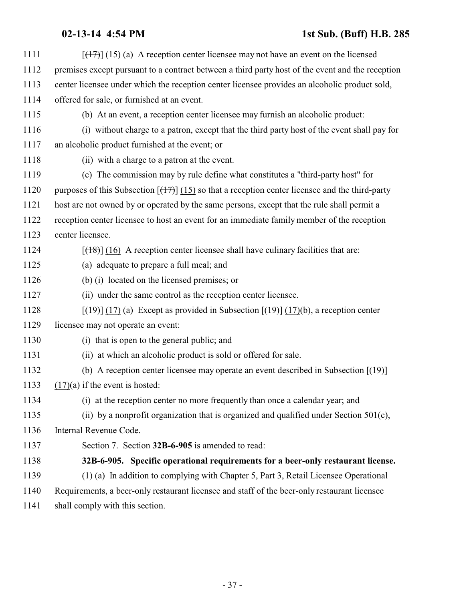<span id="page-36-0"></span>

| 1111 | $[ (17) ] (15)$ (a) A reception center licensee may not have an event on the licensed                             |
|------|-------------------------------------------------------------------------------------------------------------------|
| 1112 | premises except pursuant to a contract between a third party host of the event and the reception                  |
| 1113 | center licensee under which the reception center licensee provides an alcoholic product sold,                     |
| 1114 | offered for sale, or furnished at an event.                                                                       |
| 1115 | (b) At an event, a reception center licensee may furnish an alcoholic product:                                    |
| 1116 | (i) without charge to a patron, except that the third party host of the event shall pay for                       |
| 1117 | an alcoholic product furnished at the event; or                                                                   |
| 1118 | (ii) with a charge to a patron at the event.                                                                      |
| 1119 | (c) The commission may by rule define what constitutes a "third-party host" for                                   |
| 1120 | purposes of this Subsection $[(17)] (15)$ so that a reception center licensee and the third-party                 |
| 1121 | host are not owned by or operated by the same persons, except that the rule shall permit a                        |
| 1122 | reception center licensee to host an event for an immediate family member of the reception                        |
| 1123 | center licensee.                                                                                                  |
| 1124 | $[ (18) ]$ (16) A reception center licensee shall have culinary facilities that are:                              |
| 1125 | (a) adequate to prepare a full meal; and                                                                          |
| 1126 | (b) (i) located on the licensed premises; or                                                                      |
| 1127 | (ii) under the same control as the reception center licensee.                                                     |
| 1128 | $[\frac{(19)}{(17)}]$ (17) (a) Except as provided in Subsection $[\frac{(19)}{(17)}]$ (17)(b), a reception center |
| 1129 | licensee may not operate an event:                                                                                |
| 1130 | (i) that is open to the general public; and                                                                       |
| 1131 | (ii) at which an alcoholic product is sold or offered for sale.                                                   |
| 1132 | (b) A reception center licensee may operate an event described in Subsection $[$ ( $\uparrow$ 9) $]$              |
| 1133 | $(17)(a)$ if the event is hosted:                                                                                 |
| 1134 | (i) at the reception center no more frequently than once a calendar year; and                                     |
| 1135 | (ii) by a nonprofit organization that is organized and qualified under Section $501(c)$ ,                         |
| 1136 | Internal Revenue Code.                                                                                            |
| 1137 | Section 7. Section 32B-6-905 is amended to read:                                                                  |
| 1138 | 32B-6-905. Specific operational requirements for a beer-only restaurant license.                                  |
| 1139 | (1) (a) In addition to complying with Chapter 5, Part 3, Retail Licensee Operational                              |
| 1140 | Requirements, a beer-only restaurant licensee and staff of the beer-only restaurant licensee                      |
| 1141 | shall comply with this section.                                                                                   |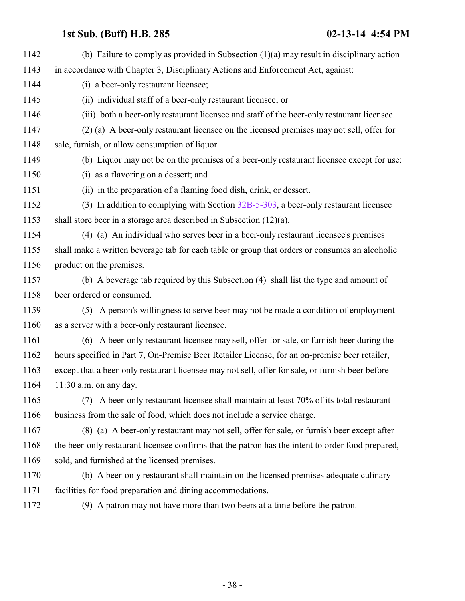| 1142 | (b) Failure to comply as provided in Subsection $(1)(a)$ may result in disciplinary action        |
|------|---------------------------------------------------------------------------------------------------|
| 1143 | in accordance with Chapter 3, Disciplinary Actions and Enforcement Act, against:                  |
| 1144 | (i) a beer-only restaurant licensee;                                                              |
| 1145 | (ii) individual staff of a beer-only restaurant licensee; or                                      |
| 1146 | (iii) both a beer-only restaurant licensee and staff of the beer-only restaurant licensee.        |
| 1147 | (2) (a) A beer-only restaurant licensee on the licensed premises may not sell, offer for          |
| 1148 | sale, furnish, or allow consumption of liquor.                                                    |
| 1149 | (b) Liquor may not be on the premises of a beer-only restaurant licensee except for use:          |
| 1150 | (i) as a flavoring on a dessert; and                                                              |
| 1151 | (ii) in the preparation of a flaming food dish, drink, or dessert.                                |
| 1152 | (3) In addition to complying with Section $32B-5-303$ , a beer-only restaurant licensee           |
| 1153 | shall store beer in a storage area described in Subsection $(12)(a)$ .                            |
| 1154 | (4) (a) An individual who serves beer in a beer-only restaurant licensee's premises               |
| 1155 | shall make a written beverage tab for each table or group that orders or consumes an alcoholic    |
| 1156 | product on the premises.                                                                          |
| 1157 | (b) A beverage tab required by this Subsection (4) shall list the type and amount of              |
| 1158 | beer ordered or consumed.                                                                         |
| 1159 | (5) A person's willingness to serve beer may not be made a condition of employment                |
| 1160 | as a server with a beer-only restaurant licensee.                                                 |
| 1161 | (6) A beer-only restaurant licensee may sell, offer for sale, or furnish beer during the          |
| 1162 | hours specified in Part 7, On-Premise Beer Retailer License, for an on-premise beer retailer,     |
| 1163 | except that a beer-only restaurant licensee may not sell, offer for sale, or furnish beer before  |
| 1164 | $11:30$ a.m. on any day.                                                                          |
| 1165 | A beer-only restaurant licensee shall maintain at least 70% of its total restaurant<br>(7)        |
| 1166 | business from the sale of food, which does not include a service charge.                          |
| 1167 | (8) (a) A beer-only restaurant may not sell, offer for sale, or furnish beer except after         |
| 1168 | the beer-only restaurant licensee confirms that the patron has the intent to order food prepared, |
| 1169 | sold, and furnished at the licensed premises.                                                     |
| 1170 | (b) A beer-only restaurant shall maintain on the licensed premises adequate culinary              |
| 1171 | facilities for food preparation and dining accommodations.                                        |
| 1172 | (9) A patron may not have more than two beers at a time before the patron.                        |
|      |                                                                                                   |
|      |                                                                                                   |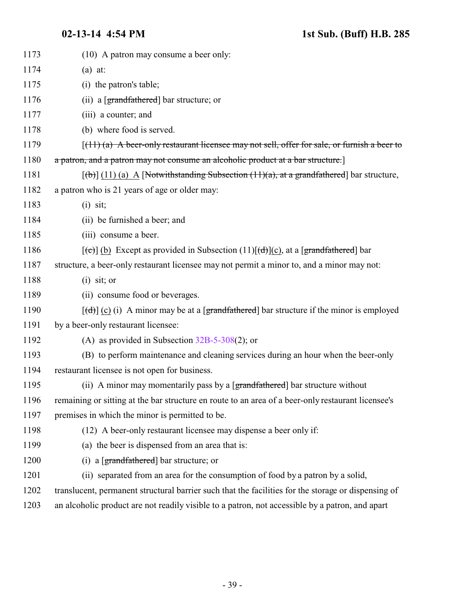| 1173 | (10) A patron may consume a beer only:                                                                    |
|------|-----------------------------------------------------------------------------------------------------------|
| 1174 | $(a)$ at:                                                                                                 |
| 1175 | (i) the patron's table;                                                                                   |
| 1176 | (ii) a $[grandfathered]$ bar structure; or                                                                |
| 1177 | (iii) a counter; and                                                                                      |
| 1178 | (b) where food is served.                                                                                 |
| 1179 | $(11)$ (a) A beer-only restaurant licensee may not sell, offer for sale, or furnish a beer to             |
| 1180 | a patron, and a patron may not consume an alcoholic product at a bar structure.                           |
| 1181 | $[\text{(b)}]$ (11) (a) A [Notwithstanding Subsection (11)(a), at a grandfathered] bar structure,         |
| 1182 | a patron who is 21 years of age or older may:                                                             |
| 1183 | $(i)$ sit;                                                                                                |
| 1184 | (ii) be furnished a beer; and                                                                             |
| 1185 | (iii) consume a beer.                                                                                     |
| 1186 | $[\text{ce}](b)$ Except as provided in Subsection (11) $[\text{cd}](c)$ , at a [grandfathered] bar        |
| 1187 | structure, a beer-only restaurant licensee may not permit a minor to, and a minor may not:                |
| 1188 | $(i)$ sit; or                                                                                             |
| 1189 | (ii) consume food or beverages.                                                                           |
| 1190 | $[\text{d}(\text{d})]$ (c) (i) A minor may be at a [grandfathered] bar structure if the minor is employed |
| 1191 | by a beer-only restaurant licensee:                                                                       |
| 1192 | (A) as provided in Subsection $32B-5-308(2)$ ; or                                                         |
| 1193 | (B) to perform maintenance and cleaning services during an hour when the beer-only                        |
| 1194 | restaurant licensee is not open for business.                                                             |
| 1195 | (ii) A minor may momentarily pass by a [grandfathered] bar structure without                              |
| 1196 | remaining or sitting at the bar structure en route to an area of a beer-only restaurant licensee's        |
| 1197 | premises in which the minor is permitted to be.                                                           |
| 1198 | (12) A beer-only restaurant licensee may dispense a beer only if:                                         |
| 1199 | (a) the beer is dispensed from an area that is:                                                           |
| 1200 | (i) a $[grandfathered]$ bar structure; or                                                                 |
| 1201 | (ii) separated from an area for the consumption of food by a patron by a solid,                           |
| 1202 | translucent, permanent structural barrier such that the facilities for the storage or dispensing of       |
| 1203 | an alcoholic product are not readily visible to a patron, not accessible by a patron, and apart           |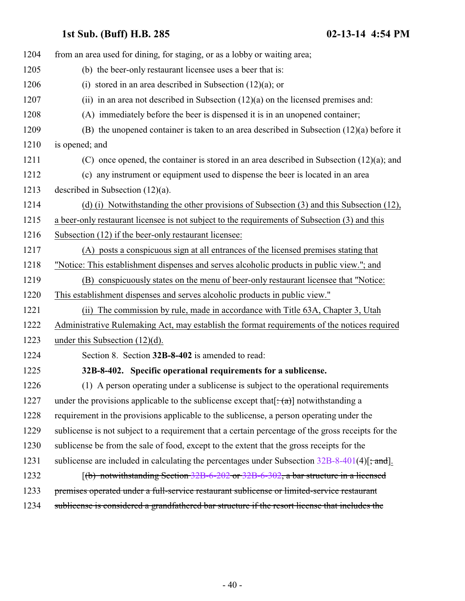<span id="page-39-0"></span>

| 1204 | from an area used for dining, for staging, or as a lobby or waiting area;                          |
|------|----------------------------------------------------------------------------------------------------|
| 1205 | (b) the beer-only restaurant licensee uses a beer that is:                                         |
| 1206 | (i) stored in an area described in Subsection $(12)(a)$ ; or                                       |
| 1207 | (ii) in an area not described in Subsection $(12)(a)$ on the licensed premises and:                |
| 1208 | (A) immediately before the beer is dispensed it is in an unopened container;                       |
| 1209 | (B) the unopened container is taken to an area described in Subsection $(12)(a)$ before it         |
| 1210 | is opened; and                                                                                     |
| 1211 | (C) once opened, the container is stored in an area described in Subsection $(12)(a)$ ; and        |
| 1212 | (c) any instrument or equipment used to dispense the beer is located in an area                    |
| 1213 | described in Subsection $(12)(a)$ .                                                                |
| 1214 | (d) (i) Notwithstanding the other provisions of Subsection (3) and this Subsection (12),           |
| 1215 | a beer-only restaurant licensee is not subject to the requirements of Subsection (3) and this      |
| 1216 | Subsection (12) if the beer-only restaurant licensee:                                              |
| 1217 | (A) posts a conspicuous sign at all entrances of the licensed premises stating that                |
| 1218 | "Notice: This establishment dispenses and serves alcoholic products in public view."; and          |
| 1219 | (B) conspicuously states on the menu of beer-only restaurant licensee that "Notice:                |
| 1220 | This establishment dispenses and serves alcoholic products in public view."                        |
| 1221 | The commission by rule, made in accordance with Title 63A, Chapter 3, Utah<br>(ii)                 |
| 1222 | Administrative Rulemaking Act, may establish the format requirements of the notices required       |
| 1223 | under this Subsection $(12)(d)$ .                                                                  |
| 1224 | Section 8. Section 32B-8-402 is amended to read:                                                   |
| 1225 | 32B-8-402. Specific operational requirements for a sublicense.                                     |
| 1226 | (1) A person operating under a sublicense is subject to the operational requirements               |
| 1227 | under the provisions applicable to the sublicense except that $[\cdot(\alpha)]$ notwithstanding a  |
| 1228 | requirement in the provisions applicable to the sublicense, a person operating under the           |
| 1229 | sublicense is not subject to a requirement that a certain percentage of the gross receipts for the |
| 1230 | sublicense be from the sale of food, except to the extent that the gross receipts for the          |
| 1231 | sublicense are included in calculating the percentages under Subsection $32B-8-401(4)[$ ; and.     |
| 1232 | $(6)$ notwithstanding Section 32B-6-202 or 32B-6-302, a bar structure in a licensed                |
| 1233 | premises operated under a full-service restaurant sublicense or limited-service restaurant         |
| 1234 | sublicense is considered a grandfathered bar structure if the resort license that includes the     |